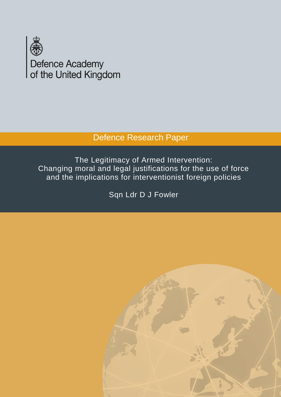

# Defence Research Paper

The Legitimacy of Armed Intervention: Changing moral and legal justifications for the use of force and the implications for interventionist foreign policies

Sqn Ldr D J Fowler

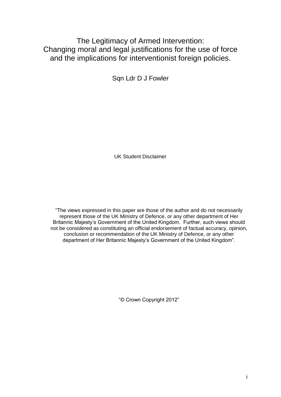## The Legitimacy of Armed Intervention: Changing moral and legal justifications for the use of force and the implications for interventionist foreign policies.

Sqn Ldr D J Fowler

UK Student Disclaimer

"The views expressed in this paper are those of the author and do not necessarily represent those of the UK Ministry of Defence, or any other department of Her Britannic Majesty's Government of the United Kingdom. Further, such views should not be considered as constituting an official endorsement of factual accuracy, opinion, conclusion or recommendation of the UK Ministry of Defence, or any other department of Her Britannic Majesty's Government of the United Kingdom".

"© Crown Copyright 2012"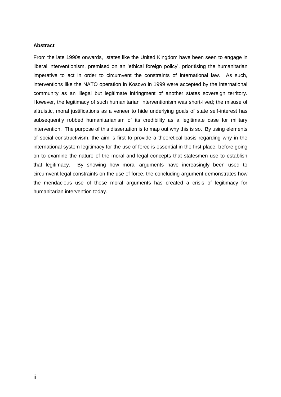#### **Abstract**

From the late 1990s onwards, states like the United Kingdom have been seen to engage in liberal interventionism, premised on an 'ethical foreign policy', prioritising the humanitarian imperative to act in order to circumvent the constraints of international law. As such, interventions like the NATO operation in Kosovo in 1999 were accepted by the international community as an illegal but legitimate infringment of another states sovereign territory. However, the legitimacy of such humanitarian interventionism was short-lived; the misuse of altruistic, moral justifications as a veneer to hide underlying goals of state self-interest has subsequently robbed humanitarianism of its credibility as a legitimate case for military intervention. The purpose of this dissertation is to map out why this is so. By using elements of social constructivism, the aim is first to provide a theoretical basis regarding why in the international system legitimacy for the use of force is essential in the first place, before going on to examine the nature of the moral and legal concepts that statesmen use to establish that legitimacy. By showing how moral arguments have increasingly been used to circumvent legal constraints on the use of force, the concluding argument demonstrates how the mendacious use of these moral arguments has created a crisis of legitimacy for humanitarian intervention today.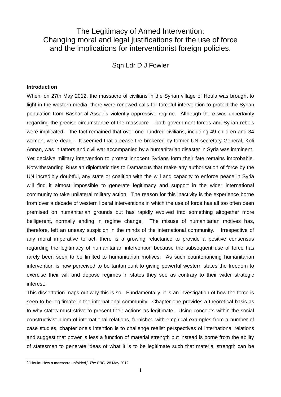## The Legitimacy of Armed Intervention: Changing moral and legal justifications for the use of force and the implications for interventionist foreign policies.

Sqn Ldr D J Fowler

#### **Introduction**

When, on 27th May 2012, the massacre of civilians in the Syrian village of Houla was brought to light in the western media, there were renewed calls for forceful intervention to protect the Syrian population from Bashar al-Assad's violently oppressive regime. Although there was uncertainty regarding the precise circumstance of the massacre – both government forces and Syrian rebels were implicated – the fact remained that over one hundred civilians, including 49 children and 34 women, were dead.<sup>1</sup> It seemed that a cease-fire brokered by former UN secretary-General, Kofi Annan, was in tatters and civil war accompanied by a humanitarian disaster in Syria was imminent. Yet decisive military intervention to protect innocent Syrians form their fate remains improbable. Notwithstanding Russian diplomatic ties to Damascus that make any authorisation of force by the UN incredibly doubtful, any state or coalition with the will and capacity to enforce peace in Syria will find it almost impossible to generate legitimacy and support in the wider international community to take unilateral military action. The reason for this inactivity is the experience borne from over a decade of western liberal interventions in which the use of force has all too often been premised on humanitarian grounds but has rapidly evolved into something altogether more belligerent, normally ending in regime change. The misuse of humanitarian motives has, therefore, left an uneasy suspicion in the minds of the international community. Irrespective of any moral imperative to act, there is a growing reluctance to provide a positive consensus regarding the legitimacy of humanitarian intervention because the subsequent use of force has rarely been seen to be limited to humanitarian motives. As such countenancing humanitarian intervention is now perceived to be tantamount to giving powerful western states the freedom to exercise their will and depose regimes in states they see as contrary to their wider strategic interest.

This dissertation maps out why this is so. Fundamentally, it is an investigation of how the force is seen to be legitimate in the international community. Chapter one provides a theoretical basis as to why states must strive to present their actions as legitimate. Using concepts within the social constructivist idiom of international relations, furnished with empirical examples from a number of case studies, chapter one's intention is to challenge realist perspectives of international relations and suggest that power is less a function of material strength but instead is borne from the ability of statesmen to generate ideas of what it is to be legitimate such that material strength can be

 1 "Houla: How a massacre unfolded," *The BBC,* 28 May 2012.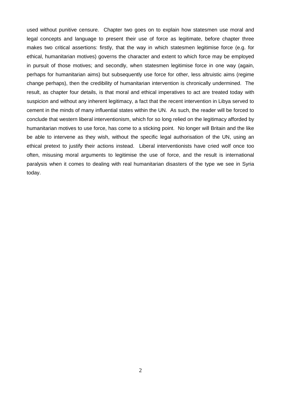used without punitive censure. Chapter two goes on to explain how statesmen use moral and legal concepts and language to present their use of force as legitimate, before chapter three makes two critical assertions: firstly, that the way in which statesmen legitimise force (e.g. for ethical, humanitarian motives) governs the character and extent to which force may be employed in pursuit of those motives; and secondly, when statesmen legitimise force in one way (again, perhaps for humanitarian aims) but subsequently use force for other, less altruistic aims (regime change perhaps), then the credibility of humanitarian intervention is chronically undermined. The result, as chapter four details, is that moral and ethical imperatives to act are treated today with suspicion and without any inherent legitimacy, a fact that the recent intervention in Libya served to cement in the minds of many influential states within the UN. As such, the reader will be forced to conclude that western liberal interventionism, which for so long relied on the legitimacy afforded by humanitarian motives to use force, has come to a sticking point. No longer will Britain and the like be able to intervene as they wish, without the specific legal authorisation of the UN, using an ethical pretext to justify their actions instead. Liberal interventionists have cried wolf once too often, misusing moral arguments to legitimise the use of force, and the result is international paralysis when it comes to dealing with real humanitarian disasters of the type we see in Syria today.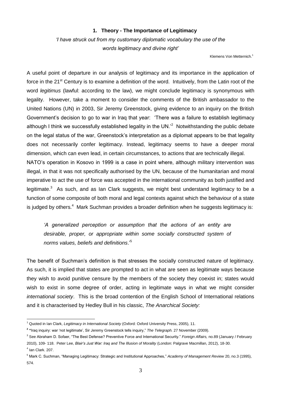#### **1. Theory - The Importance of Legitimacy**

*'I have struck out from my customary diplomatic vocabulary the use of the words legitimacy and divine right'*

Klemens Von Metternich.<sup>1</sup>

A useful point of departure in our analysis of legitimacy and its importance in the application of force in the 21<sup>st</sup> Century is to examine a definition of the word. Intuitively, from the Latin root of the word *legitimus* (lawful: according to the law), we might conclude legitimacy is synonymous with legality. However, take a moment to consider the comments of the British ambassador to the United Nations (UN) in 2003, Sir Jeremy Greenstock, giving evidence to an inquiry on the British Government's decision to go to war in Iraq that year: 'There was a failure to establish legitimacy although I think we successfully established legality in the UN.<sup>2</sup> Notwithstanding the public debate on the legal status of the war, Greenstock's interpretation as a diplomat appears to be that legality does not necessarily confer legitimacy. Instead, legitimacy seems to have a deeper moral dimension, which can even lead, in certain circumstances, to actions that are technically illegal. NATO's operation in Kosovo in 1999 is a case in point where, although military intervention was illegal, in that it was not specifically authorised by the UN, because of the humanitarian and moral imperative to act the use of force was accepted in the international community as both justified and legitimate.<sup>3</sup> As such, and as Ian Clark suggests, we might best understand legitimacy to be a function of some composite of both moral and legal contexts against which the behaviour of a state

*'A generalized perception or assumption that the actions of an entity are*  desirable, proper, or appropriate within some socially constructed system of *norms values, beliefs and definitions*.'<sup>5</sup>

is judged by others. $^4\,$  Mark Suchman provides a broader definition when he suggests legitimacy is:

The benefit of Suchman's definition is that stresses the socially constructed nature of legitimacy. As such, it is implied that states are prompted to act in what are seen as legitimate ways because they wish to avoid punitive censure by the members of the society they coexist in; states would wish to exist in some degree of order, acting in legitimate ways in what we might consider *international society*. This is the broad contention of the English School of International relations and it is characterised by Hedley Bull in his classic, *The Anarchical Society:*

<sup>1</sup> Quoted in Ian Clark, *Legitimacy in International Society* (Oxford: Oxford University Press, 2005), 11.

**<sup>2</sup> "**Iraq inquiry: war 'not legitimate', Sir Jeremy Greenstock tells inquiry," *The Telegraph.* 27 November (2009).

<sup>3</sup> See Abraham D. Sofaer, "The Best Defense? Preventive Force and International Security." *Foreign Affairs,* no.89 (January / February 2010), 109- 118. Peter Lee, *Blair's Just War: Iraq and The Illusion of Morality* (London: Palgrave Macmillan, 2012), 18-30. 4 Ian Clark. 207.

<sup>5</sup> Mark C. Suchman, "Managing Legitimacy: Strategic and Institutional Approaches*,*" *Academy of Management Review* 20, no.3 (1995), 574.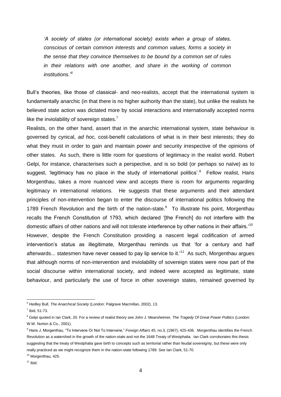*'A society of states (or international society) exists when a group of states, conscious of certain common interests and common values, forms a society in the sense that they convince themselves to be bound by a common set of rules in their relations with one another, and share in the working of common institutions.*' *6*

Bull's theories, like those of classical- and neo-realists, accept that the international system is fundamentally anarchic (in that there is no higher authority than the state), but unlike the realists he believed state action was dictated more by social interactions and internationally accepted norms like the inviolability of sovereign states.<sup>7</sup>

Realists, on the other hand, assert that in the anarchic international system, state behaviour is governed by cynical, *ad hoc,* cost-benefit calculations of what is in their best interests; they do what they must in order to gain and maintain power and security irrespective of the opinions of other states. As such, there is little room for questions of legitimacy in the realist world. Robert Gelpi, for instance, characterises such a perspective, and is so bold (or perhaps so naïve) as to suggest, 'legitimacy has no place in the study of international politics'.<sup>8</sup> Fellow realist, Hans Morgenthau, takes a more nuanced view and accepts there is room for arguments regarding legitimacy in international relations. He suggests that these arguments and their attendant principles of non-intervention began to enter the discourse of international politics following the 1789 French Revolution and the birth of the nation-state. $9$  To illustrate his point, Morgenthau recalls the French Constitution of 1793, which declared '[the French] do not interfere with the domestic affairs of other nations and will not tolerate interference by other nations in their affairs.'<sup>10</sup> However, despite the French Constitution providing a nascent legal codification of armed intervention's status as illegitimate, Morgenthau reminds us that 'for a century and half afterwards... statesmen have never ceased to pay lip service to it.'<sup>11</sup> As such, Morgenthau argues that although norms of non-intervention and inviolability of sovereign states were now part of the social discourse within international society, and indeed were accepted as legitimate, state behaviour, and particularly the use of force in other sovereign states, remained governed by

 $\overline{a}$ <sup>6</sup> Hedley Bull, *The Anarchical Society* (London: Palgrave Macmillan, 2002), 13.

 $<sup>7</sup>$  Ibid, 51-73.</sup>

<sup>8</sup> Gelpi quoted in Ian Clark, 20. For a review of realist theory see John J. Mearsheimer, *The Tragedy Of Great Power Politics* (London: W.W. Norton & Co., 2001).

<sup>9</sup> Hans J. Morgenthau, "To Intervene Or Not To Intervene," *Foreign Affairs* 45, no.3, (1967), 425-436. Morgenthau identifies the French Revolution as a watershed in the growth of the nation-state and not the 1648 Treaty of Westphalia. Ian Clark corroborates this thesis suggesting that the treaty of Westphalia gave birth to concepts such as territorial rather than feudal sovereignty, but these were only really practiced as we might recognize them in the nation-state following 1789. See Ian Clark, 51-70.

<sup>&</sup>lt;sup>10</sup> Morgenthau, 425.

 $11$  Ibid.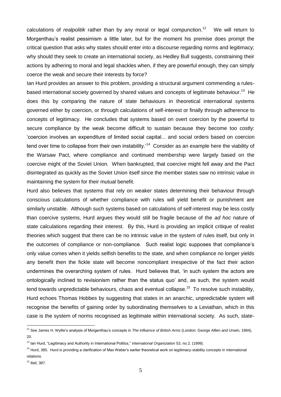calculations of *realpolitik* rather than by any moral or legal compunction.<sup>12</sup> We will return to Morgenthau's realist pessimism a little later, but for the moment his premise does prompt the critical question that asks why states should enter into a discourse regarding norms and legitimacy; why should they seek to create an international society, as Hedley Bull suggests, constraining their actions by adhering to moral and legal shackles when, if they are powerful enough, they can simply coerce the weak and secure their interests by force?

Ian Hurd provides an answer to this problem, providing a structural argument commending a rulesbased international society governed by shared values and concepts of legitimate behaviour.<sup>13</sup> He does this by comparing the nature of state behaviours in theoretical international systems governed either by coercion, or through calculations of self-interest or finally through adherence to concepts of legitimacy. He concludes that systems based on overt coercion by the powerful to secure compliance by the weak become difficult to sustain because they become too costly: 'coercion involves an expenditure of limited social capital... and social orders based on coercion tend over time to collapse from their own instability.'<sup>14</sup> Consider as an example here the viability of the Warsaw Pact, where compliance and continued membership were largely based on the coercive might of the Soviet Union. When bankrupted, that coercive might fell away and the Pact disintegrated as quickly as the Soviet Union itself since the member states saw no intrinsic value in maintaining the system for their mutual benefit.

Hurd also believes that systems that rely on weaker states determining their behaviour through conscious calculations of whether compliance with rules will yield benefit or punishment are similarly unstable. Although such systems based on calculations of self-interest may be less costly than coercive systems, Hurd argues they would still be fragile because of the *ad hoc* nature of state calculations regarding their interest. By this, Hurd is providing an implicit critique of realist theories which suggest that there can be no intrinsic value in the system of rules itself, but only in the outcomes of compliance or non-compliance. Such realist logic supposes that compliance's only value comes when it yields selfish benefits to the state, and when compliance no longer yields any benefit then the fickle state will become noncompliant irrespective of the fact their action undermines the overarching system of rules. Hurd believes that, 'in such system the actors are ontologically inclined to revisionism rather than the status quo' and, as such, the system would tend towards unpredictable behaviours, chaos and eventual collapse.<sup>15</sup> To resolve such instability, Hurd echoes Thomas Hobbes by suggesting that states in an anarchic, unpredictable system will recognise the benefits of gaining order by subordinating themselves to a Leviathan, which in this case is the system of norms recognised as legitimate within international society. As such, state-

 $\overline{a}$ <sup>12</sup> See James H. Wyllie's analysis of Morgenthau's concepts in *The Influence of British Arms* (London: George Alllen and Unwin, 1984), 20.

<sup>13</sup> Ian Hurd, "Legitimacy and Authority in International Politics," *International Organization* 53, no.2. (1999).

<sup>&</sup>lt;sup>14</sup> Hurd, 385. Hurd is providing a clarification of Max Weber's earlier theoretical work on legitimacy-stability concepts in international relations.

 $15$  Ibid, 387.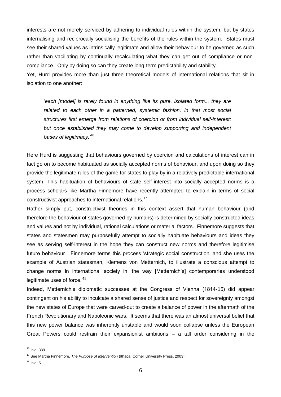interests are not merely serviced by adhering to individual rules within the system, but by states internalising and reciprocally socialising the benefits of the rules within the system. States must see their shared values as intrinsically legitimate and allow their behaviour to be governed as such rather than vacillating by continually recalculating what they can get out of compliance or noncompliance. Only by doing so can they create long-term predictability and stability.

Yet, Hurd provides more than just three theoretical models of international relations that sit in isolation to one another:

'*each [model] is rarely found in anything like its pure, isolated form... they are related to each other in a patterned, systemic fashion, in that most social structures first emerge from relations of coercion or from individual self-interest; but once established they may come to develop supporting and independent bases of legitimacy.'*<sup>16</sup>

Here Hurd is suggesting that behaviours governed by coercion and calculations of interest can in fact go on to become habituated as socially accepted norms of behaviour, and upon doing so they provide the legitimate rules of the game for states to play by in a relatively predictable international system. This habituation of behaviours of state self-interest into socially accepted norms is a process scholars like Martha Finnemore have recently attempted to explain in terms of social constructivist approaches to international relations.<sup>17</sup>

Rather simply put, constructivist theories in this context assert that human behaviour (and therefore the behaviour of states governed by humans) is determined by socially constructed ideas and values and not by individual, rational calculations or material factors. Finnemore suggests that states and statesmen may purposefully attempt to socially habituate behaviours and ideas they see as serving self-interest in the hope they can construct new norms and therefore legitimise future behaviour. Finnemore terms this process 'strategic social construction' and she uses the example of Austrian statesman, Klemens von Metternich, to illustrate a conscious attempt to change norms in international society in 'the way [Metternich's] contemporaries understood legitimate uses of force.'<sup>18</sup>

Indeed, Metternich's diplomatic successes at the Congress of Vienna (1814-15) did appear contingent on his ability to inculcate a shared sense of justice and respect for sovereignty amongst the new states of Europe that were carved-out to create a balance of power in the aftermath of the French Revolutionary and Napoleonic wars. It seems that there was an almost universal belief that this new power balance was inherently unstable and would soon collapse unless the European Great Powers could restrain their expansionist ambitions – a tall order considering in the

<sup>&</sup>lt;sup>16</sup> Ibid, 389.

<sup>17</sup> See Martha Finnemore, *The Purpose of Intervention* (Ithaca, Cornell University Press, 2003).

 $18$  Ibid, 5.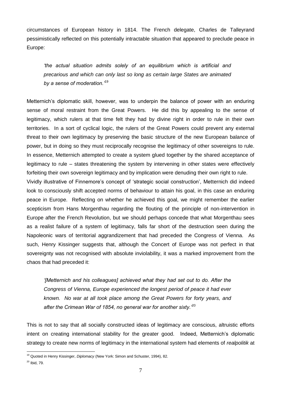circumstances of European history in 1814. The French delegate, Charles de Talleyrand pessimistically reflected on this potentially intractable situation that appeared to preclude peace in Europe:

*'the actual situation admits solely of an equilibrium which is artificial and precarious and which can only last so long as certain large States are animated by a sense of moderation.'*<sup>19</sup>

Metternich's diplomatic skill, however, was to underpin the balance of power with an enduring sense of moral restraint from the Great Powers. He did this by appealing to the sense of legitimacy, which rulers at that time felt they had by divine right in order to rule in their own territories. In a sort of cyclical logic, the rulers of the Great Powers could prevent any external threat to their own legitimacy by preserving the basic structure of the new European balance of power, but in doing so they must reciprocally recognise the legitimacy of other sovereigns to rule. In essence, Metternich attempted to create a system glued together by the shared acceptance of legitimacy to rule – states threatening the system by intervening in other states were effectively forfeiting their own sovereign legitimacy and by implication were denuding their own right to rule. Vividly illustrative of Finnemore's concept of 'strategic social construction', Metternich did indeed look to consciously shift accepted norms of behaviour to attain his goal, in this case an enduring peace in Europe. Reflecting on whether he achieved this goal, we might remember the earlier scepticism from Hans Morgenthau regarding the flouting of the principle of non-intervention in Europe after the French Revolution, but we should perhaps concede that what Morgenthau sees as a realist failure of a system of legitimacy, falls far short of the destruction seen during the Napoleonic wars of territorial aggrandizement that had preceded the Congress of Vienna. As such, Henry Kissinger suggests that, although the Concert of Europe was not perfect in that sovereignty was not recognised with absolute inviolability, it was a marked improvement from the

*'[Metternich and his colleagues] achieved what they had set out to do. After the Congress of Vienna, Europe experienced the longest period of peace it had ever known. No war at all took place among the Great Powers for forty years, and after the Crimean War of 1854, no general war for another sixty.'*<sup>20</sup>

This is not to say that all socially constructed ideas of legitimacy are conscious, altruistic efforts intent on creating international stability for the greater good. Indeed, Metternich's diplomatic strategy to create new norms of legitimacy in the international system had elements of *realpolitik* at

chaos that had preceded it:

 $\overline{a}$ <sup>19</sup> Quoted in Henry Kissinger, *Diplomacy* (New York: Simon and Schuster, 1994), 82.

 $20$  Ibid, 79.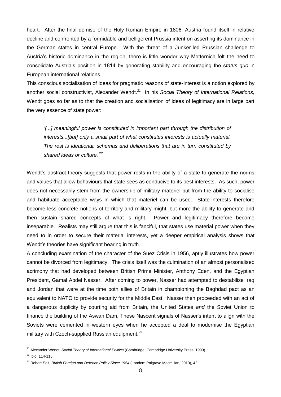heart. After the final demise of the Holy Roman Empire in 1806, Austria found itself in relative decline and confronted by a formidable and belligerent Prussia intent on asserting its dominance in the German states in central Europe. With the threat of a Junker-led Prussian challenge to Austria's historic dominance in the region, there is little wonder why Metternich felt the need to consolidate Austria's position in 1814 by generating stability and encouraging the s*tatus quo* in European international relations.

This conscious socialisation of ideas for pragmatic reasons of state-interest is a notion explored by another social constructivist, Alexander Wendt.*<sup>21</sup>* In his *Social Theory of International Relations,*  Wendt goes so far as to that the creation and socialisation of ideas of legitimacy are in large part the very essence of state power:

*'[...] meaningful power is constituted in important part through the distribution of interests...[but] only a small part of what constitutes interests is actually material. The rest is ideational: schemas and deliberations that are in turn constituted by shared ideas or culture.'*<sup>22</sup>

Wendt's abstract theory suggests that power rests in the ability of a state to generate the norms and values that allow behaviours that state sees as conducive to its best interests. As such, power does not necessarily stem from the ownership of military materiel but from the ability to socialise and habituate acceptable ways in which that materiel can be used. State-interests therefore become less concrete notions of territory and military might, but more the ability to generate and then sustain shared concepts of what is right. Power and legitimacy therefore become inseparable. Realists may still argue that this is fanciful, that states use material power when they need to in order to secure their material interests, yet a deeper empirical analysis shows that Wendt's theories have significant bearing in truth.

A concluding examination of the character of the Suez Crisis in 1956, aptly illustrates how power cannot be divorced from legitimacy. The crisis itself was the culmination of an almost personalised acrimony that had developed between British Prime Minister, Anthony Eden, and the Egyptian President, Gamal Abdel Nasser. After coming to power, Nasser had attempted to destabilise Iraq and Jordan that were at the time both allies of Britain in championing the Baghdad pact as an equivalent to NATO to provide security for the Middle East. Nasser then proceeded with an act of a dangerous duplicity by courting aid from Britain, the United States *and* the Soviet Union to finance the building of the Aswan Dam. These Nascent signals of Nasser's intent to align with the Soviets were cemented in western eyes when he accepted a deal to modernise the Egyptian military with Czech-supplied Russian equipment. $^{23}$ 

 $\overline{a}$ <sup>21</sup> Alexander Wendt, *Social Theory of International Politics* (Cambridge: Cambridge University Press, 1999).

 $22$  Ibid, 114-115.

<sup>&</sup>lt;sup>23</sup> Robert Self, *British Foreign and Defence Policy Since 1954* (London: Palgrave Macmillan, 2010), 42.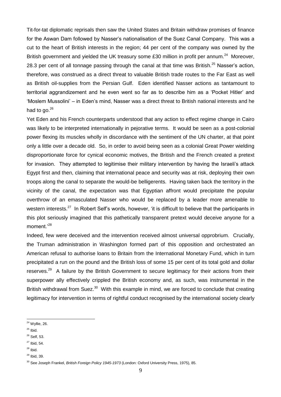Tit-for-tat diplomatic reprisals then saw the United States and Britain withdraw promises of finance for the Aswan Dam followed by Nasser's nationalisation of the Suez Canal Company. This was a cut to the heart of British interests in the region; 44 per cent of the company was owned by the British government and yielded the UK treasury some £30 million in profit per annum.<sup>24</sup> Moreover, 28.3 per cent of all tonnage passing through the canal at that time was British.<sup>25</sup> Nasser's action, therefore, was construed as a direct threat to valuable British trade routes to the Far East as well as British oil-supplies from the Persian Gulf. Eden identified Nasser actions as tantamount to territorial aggrandizement and he even went so far as to describe him as a 'Pocket Hitler' and 'Moslem Mussolini' – in Eden's mind, Nasser was a direct threat to British national interests and he had to go.<sup>26</sup>

Yet Eden and his French counterparts understood that any action to effect regime change in Cairo was likely to be interpreted internationally in pejorative terms. It would be seen as a post-colonial power flexing its muscles wholly in discordance with the sentiment of the UN charter, at that point only a little over a decade old. So, in order to avoid being seen as a colonial Great Power wielding disproportionate force for cynical economic motives, the British and the French created a pretext for invasion. They attempted to legitimise their military intervention by having the Israeli's attack Egypt first and then, claiming that international peace and security was at risk, deploying their own troops along the canal to separate the would-be belligerents. Having taken back the territory in the vicinity of the canal, the expectation was that Egyptian affront would precipitate the popular overthrow of an emasculated Nasser who would be replaced by a leader more amenable to western interests.<sup>27</sup> In Robert Self's words, however, 'it is difficult to believe that the participants in this plot seriously imagined that this pathetically transparent pretext would deceive anyone for a moment.'<sup>28</sup>

Indeed, few were deceived and the intervention received almost universal opprobrium. Crucially, the Truman administration in Washington formed part of this opposition and orchestrated an American refusal to authorise loans to Britain from the International Monetary Fund, which in turn precipitated a run on the pound and the British loss of some 15 per cent of its total gold and dollar reserves.<sup>29</sup> A failure by the British Government to secure legitimacy for their actions from their superpower ally effectively crippled the British economy and, as such, was instrumental in the British withdrawal from Suez.<sup>30</sup> With this example in mind, we are forced to conclude that creating legitimacy for intervention in terms of rightful conduct recognised by the international society clearly

- <sup>26</sup> Self, 53.  $27$  Ibid, 54.
- $28$  Ibid.
- $29$  Ibid, 39.

 $\overline{a}$ <sup>24</sup> Wyllie, 26.

 $25$  Ibid.

<sup>30</sup> See Joseph Frankel, *British Foreign Policy 1945-1973* (London: Oxford University Press, 1975), 85.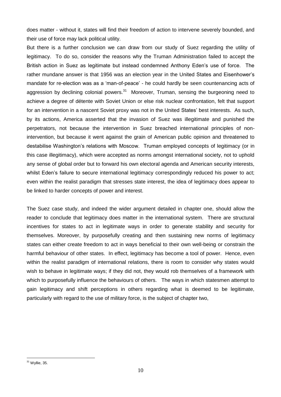does matter - without it, states will find their freedom of action to intervene severely bounded, and their use of force may lack political utility.

But there is a further conclusion we can draw from our study of Suez regarding the utility of legitimacy. To do so, consider the reasons why the Truman Administration failed to accept the British action in Suez as legitimate but instead condemned Anthony Eden's use of force. The rather mundane answer is that 1956 was an election year in the United States and Eisenhower's mandate for re-election was as a 'man-of-peace' - he could hardly be seen countenancing acts of aggression by declining colonial powers.<sup>31</sup> Moreover, Truman, sensing the burgeoning need to achieve a degree of détente with Soviet Union or else risk nuclear confrontation, felt that support for an intervention in a nascent Soviet proxy was not in the United States' best interests. As such, by its actions, America asserted that the invasion of Suez was illegitimate and punished the perpetrators, not because the intervention in Suez breached international principles of nonintervention, but because it went against the grain of American public opinion and threatened to destabilise Washington's relations with Moscow. Truman employed concepts of legitimacy (or in this case illegitimacy), which were accepted as norms amongst international society, not to uphold any sense of global order but to forward his own electoral agenda and American security interests, whilst Eden's failure to secure international legitimacy correspondingly reduced his power to act; even within the realist paradigm that stresses state interest, the idea of legitimacy does appear to be linked to harder concepts of power and interest.

The Suez case study, and indeed the wider argument detailed in chapter one, should allow the reader to conclude that legitimacy does matter in the international system. There are structural incentives for states to act in legitimate ways in order to generate stability and security for themselves. Moreover, by purposefully creating and then sustaining new norms of legitimacy states can either create freedom to act in ways beneficial to their own well-being or constrain the harmful behaviour of other states. In effect, legitimacy has become a tool of power. Hence, even within the realist paradigm of international relations, there is room to consider why states would wish to behave in legitimate ways; if they did not, they would rob themselves of a framework with which to purposefully influence the behaviours of others. The ways in which statesmen attempt to gain legitimacy and shift perceptions in others regarding what is deemed to be legitimate, particularly with regard to the use of military force, is the subject of chapter two,

 $31$  Wyllie, 35.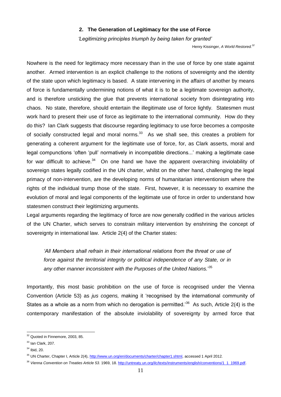#### **2. The Generation of Legitimacy for the use of Force**

 *'Legitimizing principles triumph by being taken for granted'*

Henry Kissinger, *A World Restored.<sup>32</sup>*

Nowhere is the need for legitimacy more necessary than in the use of force by one state against another. Armed intervention is an explicit challenge to the notions of sovereignty and the identity of the state upon which legitimacy is based. A state intervening in the affairs of another by means of force is fundamentally undermining notions of what it is to be a legitimate sovereign authority, and is therefore unsticking the glue that prevents international society from disintegrating into chaos. No state, therefore, should entertain the illegitimate use of force lightly. Statesmen must work hard to present their use of force as legitimate to the international community. How do they do this? Ian Clark suggests that discourse regarding legitimacy to use force becomes a composite of socially constructed legal and moral norms. $33$  As we shall see, this creates a problem for generating a coherent argument for the legitimate use of force, for, as Clark asserts, moral and legal compunctions 'often 'pull' normatively in incompatible directions...' making a legitimate case for war difficult to achieve.<sup>34</sup> On one hand we have the apparent overarching inviolability of sovereign states legally codified in the UN charter, whilst on the other hand, challenging the legal primacy of non-intervention, are the developing norms of humanitarian interventionism where the rights of the individual trump those of the state. First, however, it is necessary to examine the evolution of moral and legal components of the legitimate use of force in order to understand how statesmen construct their legitimizing arguments.

Legal arguments regarding the legitimacy of force are now generally codified in the various articles of the UN Charter, which serves to constrain military intervention by enshrining the concept of sovereignty in international law. Article 2(4) of the Charter states:

*'All Members shall refrain in their international relations from the threat or use of*  force against the territorial integrity or political independence of any State, or in *any other manner inconsistent with the Purposes of the United Nations.*' 35

Importantly, this most basic prohibition on the use of force is recognised under the Vienna Convention (Article 53) as *jus cogens,* making it 'recognised by the international community of States as a whole as a norm from which no derogation is permitted.<sup>36</sup> As such, Article 2(4) is the contemporary manifestation of the absolute inviolability of sovereignty by armed force that

<sup>&</sup>lt;sup>32</sup> Quoted in Finnemore, 2003, 85.

<sup>&</sup>lt;sup>33</sup> Ian Clark, 207.

 $34$  Ibid, 20.

<sup>35</sup> UN Charter, Chapter I, Article 2(4), [http://www.un.org/en/documents/charter/chapter1.shtml,](http://www.un.org/en/documents/charter/chapter1.shtml) accessed 1 April 2012.

<sup>&</sup>lt;sup>36</sup> Vienna Convention on Treaties Article 53. 1969, 18. [http://untreaty.un.org/ilc/texts/instruments/english/conventions/1\\_1\\_1969.pdf.](http://untreaty.un.org/ilc/texts/instruments/english/conventions/1_1_1969.pdf)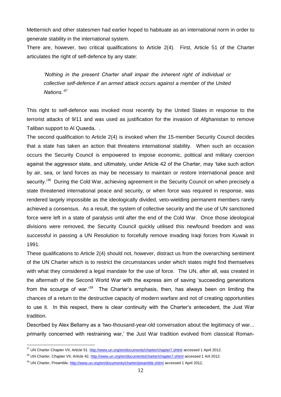Metternich and other statesmen had earlier hoped to habituate as an international norm in order to generate stability in the international system.

There are, however, two critical qualifications to Article 2(4). First, Article 51 of the Charter articulates the right of self-defence by any state:

*'Nothing in the present Charter shall impair the inherent right of individual or collective self-defence if an armed attack occurs against a member of the United Nations.'*<sup>37</sup>

This right to self-defence was invoked most recently by the United States in response to the terrorist attacks of 9/11 and was used as justification for the invasion of Afghanistan to remove Taliban support to Al Quaeda. .

The second qualification to Article 2(4) is invoked when the 15-member Security Council decides that a state has taken an action that threatens international stability. When such an occasion occurs the Security Council is empowered to impose economic, political and military coercion against the aggressor state, and ultimately, under Article 42 of the Charter, may 'take such action by air, sea, or land forces as may be necessary to maintain or restore international peace and security.<sup>38</sup> During the Cold War, achieving agreement in the Security Council on when precisely a state threatened international peace and security, or when force was required in response, was rendered largely impossible as the ideologically divided, veto-wielding permanent members rarely achieved a consensus. As a result, the system of collective security and the use of UN sanctioned force were left in a state of paralysis until after the end of the Cold War. Once those ideological divisions were removed, the Security Council quickly utilised this newfound freedom and was successful in passing a UN Resolution to forcefully remove invading Iraqi forces from Kuwait in 1991.

These qualifications to Article 2(4) should not, however, distract us from the overarching sentiment of the UN Charter which is to restrict the circumstances under which states might find themselves with what they considered a legal mandate for the use of force. The UN, after all, was created in the aftermath of the Second World War with the express aim of saving 'succeeding generations from the scourge of war.<sup>39</sup> The Charter's emphasis, then, has always been on limiting the chances of a return to the destructive capacity of modern warfare and not of creating opportunities to use it. In this respect, there is clear continuity with the Charter's antecedent, the Just War tradition.

Described by Alex Bellamy as a 'two-thousand-year-old conversation about the legitimacy of war... primarily concerned with restraining war,' the Just War tradition evolved from classical Roman-

 $\overline{a}$ <sup>37</sup> UN Charter Chapter VII, Article 51. <http://www.un.org/en/documents/charter/chapter7.shtml> accessed 1 April 2012.

<sup>38</sup> UN Charter, Chapter VII, Article 42, <http://www.un.org/en/documents/charter/chapter7.shtml> accessed 1 Aril 2012.

<sup>&</sup>lt;sup>39</sup> UN Charter, Preamble,<http://www.un.org/en/documents/charter/preamble.shtml> accessed 1 April 2012,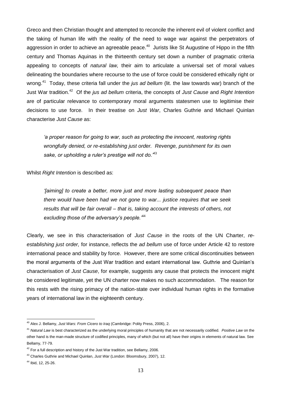Greco and then Christian thought and attempted to reconcile the inherent evil of violent conflict and the taking of human life with the reality of the need to wage war against the perpetrators of aggression in order to achieve an agreeable peace.<sup>40</sup> Jurists like St Augustine of Hippo in the fifth century and Thomas Aquinas in the thirteenth century set down a number of pragmatic criteria appealing to concepts of *natural law,* their aim to articulate a universal set of moral values delineating the boundaries where recourse to the use of force could be considered ethically right or wrong.<sup>41</sup> Today, these criteria fall under the *jus ad bellum* (lit. the law towards war) branch of the Just War tradition.<sup>42</sup> Of the *jus ad bellum* criteria, the concepts of *Just Cause* and *Right Intention* are of particular relevance to contemporary moral arguments statesmen use to legitimise their decisions to use force*.* In their treatise on *Just War*, Charles Guthrie and Michael Quinlan characterise *Just Cause* as:

*'a proper reason for going to war, such as protecting the innocent, restoring rights wrongfully denied, or re-establishing just order. Revenge, punishment for its own sake, or upholding a ruler's prestige will not do.'*<sup>43</sup>

Whilst *Right Intention* is described as:

*'[aiming] to create a better, more just and more lasting subsequent peace than there would have been had we not gone to war... justice requires that we seek results that will be fair overall – that is, taking account the interests of others, not excluding those of the adversary's people.'*<sup>44</sup>

Clearly, we see in this characterisation of *Just Cause* in the roots of the UN Charter, *reestablishing just order,* for instance, reflects the *ad bellum* use of force under Article 42 to restore international peace and stability by force. However, there are some critical discontinuities between the moral arguments of the Just War tradition and extant international law. Guthrie and Quinlan's characterisation of *Just Cause*, for example, suggests any cause that protects the innocent might be considered legitimate, yet the UN charter now makes no such accommodation. The reason for this rests with the rising primacy of the nation-state over individual human rights in the formative years of international law in the eighteenth century.

 $\overline{a}$ <sup>40</sup> Alex J. Bellamy, *Just Wars: From Cicero to Iraq* (Cambridge: Polity Press, 2006), 2.

<sup>41</sup> *Natural Law* is best characterized as the underlying moral principles of humanity that are not necessarily codified. *Positive Law* on the other hand is the man-made structure of codified principles, many of which (but not all) have their origins in elements of natural law. See Bellamy, 77-79.

 $42$  For a full description and history of the Just War tradition, see Bellamy, 2006.

<sup>43</sup> Charles Guthrie and Michael Quinlan, *Just War* (London: Bloomsbury, 2007), 12.

<sup>44</sup> Ibid, 12, 25-26.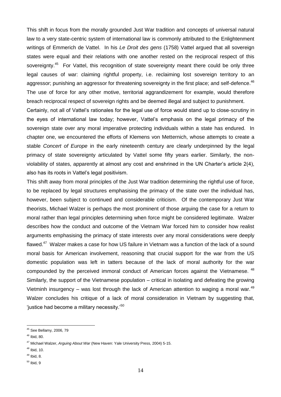This shift in focus from the morally grounded Just War tradition and concepts of universal natural law to a very state-centric system of international law is commonly attributed to the Enlightenment writings of Emmerich de Vattel. In his *Le Droit des gens* (1758) Vattel argued that all sovereign states were equal and their relations with one another rested on the reciprocal respect of this sovereignty.<sup>45</sup> For Vattel, this recognition of state sovereignty meant there could be only three legal causes of war: claiming rightful property, i.e. reclaiming lost sovereign territory to an aggressor; punishing an aggressor for threatening sovereignty in the first place; and self-defence. $^{46}$ The use of force for any other motive, territorial aggrandizement for example, would therefore breach reciprocal respect of sovereign rights and be deemed illegal and subject to punishment.

Certainly, not all of Vattel's rationales for the legal use of force would stand up to close-scrutiny in the eyes of international law today; however, Vattel's emphasis on the legal primacy of the sovereign state over any moral imperative protecting individuals within a state has endured. In chapter one, we encountered the efforts of Klemens von Metternich, whose attempts to create a stable *Concert of Europe* in the early nineteenth century are clearly underpinned by the legal primacy of state sovereignty articulated by Vattel some fifty years earlier. Similarly, the nonviolability of states, apparently at almost any cost and enshrined in the UN Charter's article 2(4), also has its roots in Vattel's legal positivism.

This shift away from moral principles of the Just War tradition determining the rightful use of force, to be replaced by legal structures emphasising the primacy of the state over the individual has, however, been subject to continued and considerable criticism. Of the contemporary Just War theorists, Michael Walzer is perhaps the most prominent of those arguing the case for a return to moral rather than legal principles determining when force might be considered legitimate. Walzer describes how the conduct and outcome of the Vietnam War forced him to consider how realist arguments emphasising the primacy of state interests over any moral considerations were deeply flawed.<sup>47</sup> Walzer makes a case for how US failure in Vietnam was a function of the lack of a sound moral basis for American involvement, reasoning that crucial support for the war from the US domestic population was left in tatters because of the lack of moral authority for the war compounded by the perceived immoral conduct of American forces against the Vietnamese. <sup>48</sup> Similarly, the support of the Vietnamese population – critical in isolating and defeating the growing Vietminh insurgency – was lost through the lack of American attention to waging a moral war.<sup>49</sup> Walzer concludes his critique of a lack of moral consideration in Vietnam by suggesting that, 'justice had become a military necessity.'<sup>50</sup>

 $\overline{a}$ <sup>45</sup> See Bellamy, 2006, 79

<sup>46</sup> Ibid, 80.

<sup>47</sup> Michael Walzer, *Arguing About War* (New Haven: Yale University Press, 2004) 5-15.

 $48$  Ibid, 10.

 $49$  Ibid, 8.

 $50$  Ibid, 9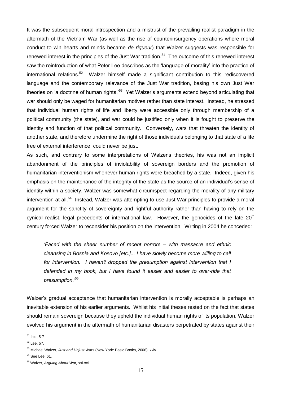It was the subsequent moral introspection and a mistrust of the prevailing realist paradigm in the aftermath of the Vietnam War (as well as the rise of counterinsurgency operations where moral conduct to win hearts and minds became *de rigueur*) that Walzer suggests was responsible for renewed interest in the principles of the Just War tradition.<sup>51</sup> The outcome of this renewed interest saw the reintroduction of what Peter Lee describes as the 'language of morality' into the practice of international relations.<sup>52</sup> Walzer himself made a significant contribution to this rediscovered language and the contemporary relevance of the Just War tradition, basing his own Just War theories on 'a doctrine of human rights.'<sup>53</sup> Yet Walzer's arguments extend beyond articulating that war should only be waged for humanitarian motives rather than state interest. Instead, he stressed that individual human rights of life and liberty were accessible only through membership of a political community (the state), and war could be justified only when it is fought to preserve the identity and function of that political community. Conversely, wars that threaten the identity of another state, and therefore undermine the right of those individuals belonging to that state of a life free of external interference, could never be just.

As such, and contrary to some interpretations of Walzer's theories, his was not an implicit abandonment of the principles of inviolability of sovereign borders and the promotion of humanitarian interventionism whenever human rights were breached by a state. Indeed, given his emphasis on the maintenance of the integrity of the state as the source of an individual's sense of identity within a society, Walzer was somewhat circumspect regarding the morality of any military intervention at all.<sup>54</sup> Instead, Walzer was attempting to use Just War principles to provide a moral argument for the sanctity of sovereignty and rightful authority rather than having to rely on the cynical realist, legal precedents of international law. However, the genocides of the late  $20<sup>th</sup>$ century forced Walzer to reconsider his position on the intervention. Writing in 2004 he conceded:

*'Faced with the sheer number of recent horrors – with massacre and ethnic cleansing in Bosnia and Kosovo [etc.]... I have slowly become more willing to call for intervention. I haven't dropped the presumption against intervention that I defended in my book, but I have found it easier and easier to over-ride that presumption.'*<sup>55</sup>

Walzer's gradual acceptance that humanitarian intervention is morally acceptable is perhaps an inevitable extension of his earlier arguments. Whilst his initial theses rested on the fact that states should remain sovereign because they upheld the individual human rights of its population, Walzer evolved his argument in the aftermath of humanitarian disasters perpetrated by states against their

 $\overline{a}$ <sup>51</sup> Ibid, 5-7

<sup>&</sup>lt;sup>52</sup> Lee, 57.

<sup>53</sup> Michael Walzer, *Just and Unjust Wars* (New York: Basic Books, 2006), xxiv.

 $54$  See Lee, 61.

<sup>55</sup> Walzer, *Arguing About War,* xxi-xxii.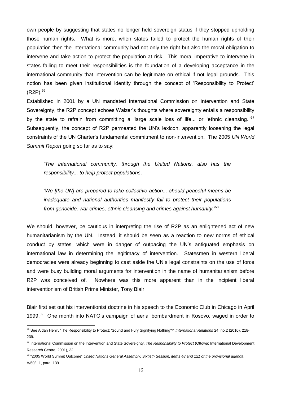own people by suggesting that states no longer held sovereign status if they stopped upholding those human rights. What is more, when states failed to protect the human rights of their population then the international community had not only the right but also the moral obligation to intervene and take action to protect the population at risk. This moral imperative to intervene in states failing to meet their responsibilities is the foundation of a developing acceptance in the international community that intervention can be legitimate on ethical if not legal grounds. This notion has been given institutional identity through the concept of 'Responsibility to Protect' (R2P).<sup>56</sup>

Established in 2001 by a UN mandated International Commission on Intervention and State Sovereignty, the R2P concept echoes Walzer's thoughts where sovereignty entails a responsibility by the state to refrain from committing a 'large scale loss of life... or 'ethnic cleansing."<sup>57</sup> Subsequently, the concept of R2P permeated the UN's lexicon, apparently loosening the legal constraints of the UN Charter's fundamental commitment to non-intervention. The 2005 *UN World Summit Report* going so far as to say:

*'The international community, through the United Nations, also has the responsibility... to help protect populations*.

*'We [the UN] are prepared to take collective action... should peaceful means be inadequate and national authorities manifestly fail to protect their populations from genocide, war crimes, ethnic cleansing and crimes against humanity.*' 58

We should, however, be cautious in interpreting the rise of R2P as an enlightened act of new humanitarianism by the UN. Instead, it should be seen as a reaction to new norms of ethical conduct by states, which were in danger of outpacing the UN's antiquated emphasis on international law in determining the legitimacy of intervention. Statesmen in western liberal democracies were already beginning to cast aside the UN's legal constraints on the use of force and were busy building moral arguments for intervention in the name of humanitarianism before R2P was conceived of. Nowhere was this more apparent than in the incipient liberal interventionism of British Prime Minister, Tony Blair.

Blair first set out his interventionist doctrine in his speech to the Economic Club in Chicago in April 1999.<sup>59</sup> One month into NATO's campaign of aerial bombardment in Kosovo, waged in order to

 $\overline{a}$ <sup>56</sup> See Aidan Hehir, 'The Responsibility to Protect: 'Sound and Fury Signifying Nothing'?" *International Relations* 24, no.2 (2010), 218- 239.

<sup>57</sup> International Commission on the Intervention and State Sovereignty, *The Responsibility to Protect* (Ottowa: International Development Research Centre, 2001), 32.

<sup>58</sup> "2005 World Summit Outcome" *United Nations General Assembly, Sixtieth Session, items 48 and 121 of the provisional agenda,*  A/60/L.1, para. 139.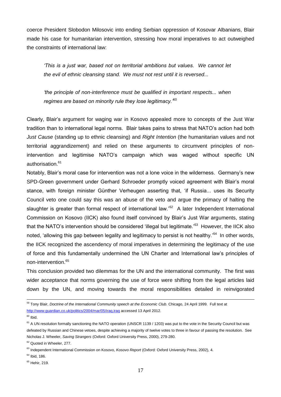coerce President Slobodon Milosovic into ending Serbian oppression of Kosovar Albanians, Blair made his case for humanitarian intervention, stressing how moral imperatives to act outweighed the constraints of international law:

*'This is a just war, based not on territorial ambitions but values. We cannot let the evil of ethnic cleansing stand. We must not rest until it is reversed...* 

*'the principle of non-interference must be qualified in important respects... when regimes are based on minority rule they lose legitimacy.'*<sup>60</sup>

Clearly, Blair's argument for waging war in Kosovo appealed more to concepts of the Just War tradition than to international legal norms. Blair takes pains to stress that NATO's action had both *Just Cause* (standing up to ethnic cleansing) and *Right Intention* (the humanitarian values and not territorial aggrandizement) and relied on these arguments to circumvent principles of nonintervention and legitimise NATO's campaign which was waged without specific UN authorisation.<sup>61</sup>

Notably, Blair's moral case for intervention was not a lone voice in the wilderness. Germany's new SPD-Green government under Gerhard Schroeder promptly voiced agreement with Blair's moral stance, with foreign minister Günther Verheugen asserting that, 'if Russia... uses its Security Council veto one could say this was an abuse of the veto and argue the primacy of halting the slaughter is greater than formal respect of international law.'<sup>62</sup> A later Independent International Commission on Kosovo (IICK) also found itself convinced by Blair's Just War arguments, stating that the NATO's intervention should be considered 'illegal but legitimate.'<sup>63</sup> However, the IICK also noted, 'allowing this gap between legality and legitimacy to persist is not healthy.'<sup>64</sup> In other words, the IICK recognized the ascendency of moral imperatives in determining the legitimacy of the use of force and this fundamentally undermined the UN Charter and International law's principles of non-intervention.<sup>65</sup>

This conclusion provided two dilemmas for the UN and the international community. The first was wider acceptance that norms governing the use of force were shifting from the legal articles laid down by the UN, and moving towards the moral responsibilities detailed in reinvigorated

<sup>&</sup>lt;sup>59</sup> Tony Blair, *Doctrine of the International Community speech at the Economic Club. Chicago, 24 April 1999. Full text at* <http://www.guardian.co.uk/politics/2004/mar/05/iraq.iraq> accessed 13 April 2012.

 $60$  Ibid.

 $61$  A UN resolution formally sanctioning the NATO operation (UNSCR 1139 / 1203) was put to the vote in the Security Council but was defeated by Russian and Chinese vetoes, despite achieving a majority of twelve votes to three in favour of passing the resolution. See Nicholas J. Wheeler, *Saving Strangers* (Oxford: Oxford University Press, 2000), 279-280.

<sup>&</sup>lt;sup>62</sup> Quoted in Wheeler, 277.

<sup>63</sup> Independent International Commission on Kosovo, *Kosovo Report* (Oxford: Oxford University Press, 2002), 4.

 $64$  Ibid, 186.

 $65$  Hehir, 219.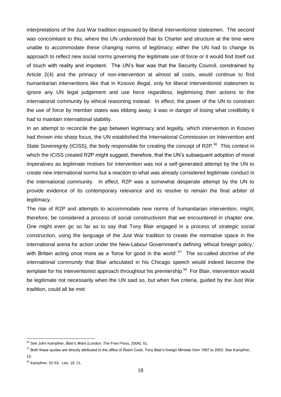interpretations of the Just War tradition espoused by liberal interventionist statesmen. The second was concomitant to this, where the UN understood that its Charter and structure at the time were unable to accommodate these changing norms of legitimacy; either the UN had to change its approach to reflect new social norms governing the legitimate use of force or it would find itself out of touch with reality and impotent. The UN's fear was that the Security Council, constrained by Article 2(4) and the primacy of non-intervention at almost all costs, would continue to find humanitarian interventions like that in Kosovo illegal, only for liberal interventionist statesmen to ignore any UN legal judgement and use force regardless, legitimising their actions to the international community by ethical reasoning instead. In effect, the power of the UN to constrain the use of force by member states was ebbing away; it was in danger of losing what credibility it had to maintain international stability.

In an attempt to reconcile the gap between legitimacy and legality, which intervention in Kosovo had thrown into sharp focus, the UN established the International Commission on Intervention and State Sovereignty (ICISS), the body responsible for creating the concept of R2P.<sup>66</sup> This context in which the ICISS created R2P might suggest, therefore, that the UN's subsequent adoption of moral imperatives as legitimate motives for intervention was not a self-generated attempt by the UN to create new international norms but a reaction to what was already considered legitimate conduct in the international community. In effect, R2P was a somewhat desperate attempt by the UN to provide evidence of its contemporary relevance and its resolve to remain the final arbiter of legitimacy.

The rise of R2P and attempts to accommodate new norms of humanitarian intervention, might, therefore, be considered a process of social constructivism that we encountered in chapter one. One might even go so far as to say that Tony Blair engaged in a process of *strategic social construction,* using the language of the Just War tradition to create the normative space in the international arena for action under the New-Labour Government's defining 'ethical foreign policy,' with Britain acting once more as a 'force for good in the world'.<sup>67</sup> The so-called *doctrine of the international community* that Blair articulated in his Chicago speech would indeed become the template for his interventionist approach throughout his premiership.<sup>68</sup> For Blair, intervention would be legitimate not necessarily when the UN said so, but when five criteria, guided by the Just War tradition, could all be met:

<sup>66</sup> See John Kampfner, *Blair's Wars* (London: The Free Press, 2004), 51.

 $67$  Both these quotes are directly attributed to the office of Robin Cook, Tony Blair's foreign Minister from 1997 to 2003. See Kampfner, 15.

<sup>68</sup> Kampfner, 52-53. Lee, 18, 21.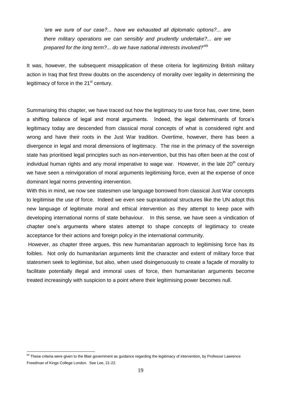*'are we sure of our case?... have we exhausted all diplomatic options?... are there military operations we can sensibly and prudently undertake?... are we prepared for the long term?... do we have national interests involved?*' 69

It was, however, the subsequent misapplication of these criteria for legitimizing British military action in Iraq that first threw doubts on the ascendency of morality over legality in determining the legitimacy of force in the  $21<sup>st</sup>$  century.

Summarising this chapter, we have traced out how the legitimacy to use force has, over time, been a shifting balance of legal and moral arguments. Indeed, the legal determinants of force's legitimacy today are descended from classical moral concepts of what is considered right and wrong and have their roots in the Just War tradition. Overtime, however, there has been a divergence in legal and moral dimensions of legitimacy. The rise in the primacy of the sovereign state has prioritised legal principles such as non-intervention, but this has often been at the cost of individual human rights and any moral imperative to wage war. However, in the late 20<sup>th</sup> century we have seen a reinvigoration of moral arguments legitimising force, even at the expense of once dominant legal norms preventing intervention.

With this in mind, we now see statesmen use language borrowed from classical Just War concepts to legitimise the use of force. Indeed we even see supranational structures like the UN adopt this new language of legitimate moral and ethical intervention as they attempt to keep pace with developing international norms of state behaviour. In this sense, we have seen a vindication of chapter one's arguments where states attempt to shape concepts of legitimacy to create acceptance for their actions and foreign policy in the international community.

However, as chapter three argues, this new humanitarian approach to legitimising force has its foibles. Not only do humanitarian arguments limit the character and extent of military force that statesmen seek to legitimise, but also, when used disingenuously to create a façade of morality to facilitate potentially illegal and immoral uses of force, then humanitarian arguments become treated increasingly with suspicion to a point where their legitimising power becomes null.

<sup>&</sup>lt;sup>69</sup> These criteria were given to the Blair government as guidance regarding the legitimacy of intervention, by Professor Lawrence Freedman of Kings College London. See Lee, 21-22.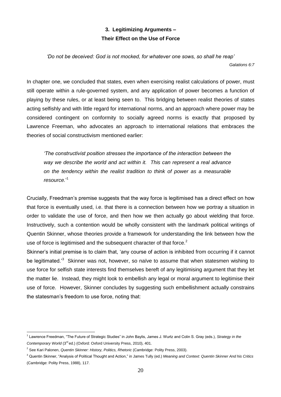### **3. Legitimizing Arguments – Their Effect on the Use of Force**

*'Do not be deceived: God is not mocked, for whatever one sows, so shall he reap' Galations 6:7*

In chapter one, we concluded that states, even when exercising realist calculations of power, must still operate within a rule-governed system, and any application of power becomes a function of playing by these rules, or at least being seen to. This bridging between realist theories of states acting selfishly and with little regard for international norms, and an approach where power may be considered contingent on conformity to socially agreed norms is exactly that proposed by Lawrence Freeman, who advocates an approach to international relations that embraces the theories of social constructivism mentioned earlier:

*'The constructivist position stresses the importance of the interaction between the way we describe the world and act within it. This can represent a real advance on the tendency within the realist tradition to think of power as a measurable resource.*' 1

Crucially, Freedman's premise suggests that the way force is legitimised has a direct effect on how that force is eventually used, i.e. that there is a connection between how we portray a situation in order to validate the use of force, and then how we then actually go about wielding that force. Instructively, such a contention would be wholly consistent with the landmark political writings of Quentin Skinner, whose theories provide a framework for understanding the link between how the use of force is legitimised and the subsequent character of that force. $2$ 

Skinner's initial premise is to claim that, 'any course of action is inhibited from occurring if it cannot be legitimated.<sup>3</sup> Skinner was not, however, so naïve to assume that when statesmen wishing to use force for selfish state interests find themselves bereft of any legitimising argument that they let the matter lie. Instead, they might look to embellish any legal or moral argument to legitimise their use of force. However, Skinner concludes by suggesting such embellishment actually constrains the statesman's freedom to use force, noting that:

<sup>1</sup> Lawrence Freedman, "The Future of Strategic Studies" in John Baylis, James J. Wurtz and Colin S. Gray (eds.), *Strategy in the*  Contemporary World (3<sup>rd</sup> ed.) (Oxford: Oxford University Press, 2010), 401.

<sup>&</sup>lt;sup>2</sup> See Kari Palonen, *Quentin Skinner: History, Politics, Rhetoric* (Cambridge: Polity Press, 2003).

<sup>3</sup> Quentin Skinner, "Analysis of Political Thought and Action," in James Tully (ed.) *Meaning and Context: Quentin Skinner And his Critics*  (Cambridge: Polity Press, 1988), 117.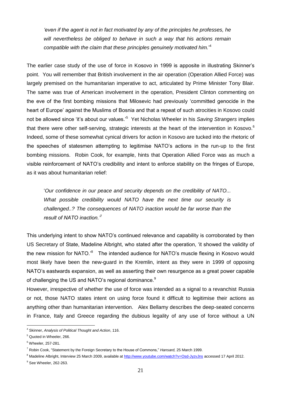*'even if the agent is not in fact motivated by any of the principles he professes, he will nevertheless be obliged to behave in such a way that his actions remain compatible with the claim that these principles genuinely motivated him.*' 4

The earlier case study of the use of force in Kosovo in 1999 is apposite in illustrating Skinner's point. You will remember that British involvement in the air operation (Operation Allied Force) was largely premised on the humanitarian imperative to act, articulated by Prime Minister Tony Blair. The same was true of American involvement in the operation, President Clinton commenting on the eve of the first bombing missions that Milosevic had previously 'committed genocide in the heart of Europe' against the Muslims of Bosnia and that a repeat of such atrocities in Kosovo could not be allowed since 'it's about our values.'<sup>5</sup> Yet Nicholas Wheeler in his Saving Strangers implies that there were other self-serving, strategic interests at the heart of the intervention in Kosovo.<sup>6</sup> Indeed, some of these somewhat cynical drivers for action in Kosovo are tucked into the rhetoric of the speeches of statesmen attempting to legitimise NATO's actions in the run-up to the first bombing missions. Robin Cook, for example, hints that Operation Allied Force was as much a visible reinforcement of NATO's credibility and intent to enforce stability on the fringes of Europe, as it was about humanitarian relief:

'*Our confidence in our peace and security depends on the credibility of NATO... What possible credibility would NATO have the next time our security is challenged..? The consequences of NATO inaction would be far worse than the result of NATO inaction.'*<sup>7</sup>

This underlying intent to show NATO's continued relevance and capability is corroborated by then US Secretary of State, Madeline Albright, who stated after the operation, 'it showed the validity of the new mission for NATO.<sup>8</sup> The intended audience for NATO's muscle flexing in Kosovo would most likely have been the new-guard in the Kremlin, intent as they were in 1999 of opposing NATO's eastwards expansion, as well as asserting their own resurgence as a great power capable of challenging the US and NATO's regional dominance.<sup>9</sup>

However, irrespective of whether the use of force was intended as a signal to a revanchist Russia or not, those NATO states intent on using force found it difficult to legitimise their actions as anything other than humanitarian intervention. Alex Bellamy describes the deep-seated concerns in France, Italy and Greece regarding the dubious legality of any use of force without a UN

 $\overline{a}$ <sup>4</sup> Skinner, *Analysis of Political Thought and Action*, 116.

<sup>5</sup> Quoted in Wheeler, 266.

 $6$  Wheeler, 257-281.

<sup>7</sup> Robin Cook, "Statement by the Foreign Secretary to the House of Commons," *Hansard,* 25 March 1999.

<sup>8</sup> Madeline Albright, Interview 25 March 2009, available a[t http://www.youtube.com/watch?v=Osd-JyzvJns](http://www.youtube.com/watch?v=Osd-JyzvJns) accessed 17 April 2012.

 $<sup>9</sup>$  See Wheeler, 262-263.</sup>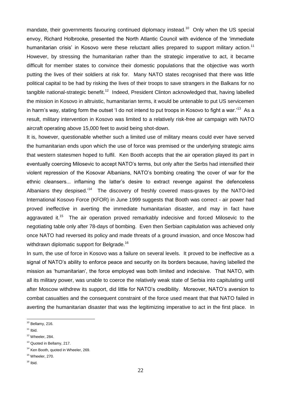mandate, their governments favouring continued diplomacy instead.<sup>10</sup> Only when the US special envoy, Richard Holbrooke, presented the North Atlantic Council with evidence of the 'immediate humanitarian crisis' in Kosovo were these reluctant allies prepared to support military action.<sup>11</sup> However, by stressing the humanitarian rather than the strategic imperative to act, it became difficult for member states to convince their domestic populations that the objective was worth putting the lives of their soldiers at risk for. Many NATO states recognised that there was little political capital to be had by risking the lives of their troops to save strangers in the Balkans for no tangible national-strategic benefit.<sup>12</sup> Indeed, President Clinton acknowledged that, having labelled the mission in Kosovo in altruistic, humanitarian terms, it would be untenable to put US servicemen in harm's way, stating form the outset 'I do not intend to put troops in Kosovo to fight a war.'<sup>13</sup> As a result, military intervention in Kosovo was limited to a relatively risk-free air campaign with NATO aircraft operating above 15,000 feet to avoid being shot-down.

It is, however, questionable whether such a limited use of military means could ever have served the humanitarian ends upon which the use of force was premised or the underlying strategic aims that western statesmen hoped to fulfil. Ken Booth accepts that the air operation played its part in eventually coercing Milosevic to accept NATO's terms, but only after the Serbs had intensified their violent repression of the Kosovar Albanians, NATO's bombing creating 'the cover of war for the ethnic cleansers... inflaming the latter's desire to extract revenge against the defenceless Albanians they despised.<sup>14</sup> The discovery of freshly covered mass-graves by the NATO-led International Kosovo Force (KFOR) in June 1999 suggests that Booth was correct - air power had proved ineffective in averting the immediate humanitarian disaster, and may in fact have aggravated it.<sup>15</sup> The air operation proved remarkably indecisive and forced Milosevic to the negotiating table only after 78-days of bombing. Even then Serbian capitulation was achieved only once NATO had reversed its policy and made threats of a ground invasion, and once Moscow had withdrawn diplomatic support for Belgrade.<sup>16</sup>

In sum, the use of force in Kosovo was a failure on several levels. It proved to be ineffective as a signal of NATO's ability to enforce peace and security on its borders because, having labelled the mission as 'humanitarian', the force employed was both limited and indecisive. That NATO, with all its military power, was unable to coerce the relatively weak state of Serbia into capitulating until after Moscow withdrew its support, did little for NATO's credibility. Moreover, NATO's aversion to combat casualties and the consequent constraint of the force used meant that that NATO failed in averting the humanitarian disaster that was the legitimizing imperative to act in the first place. In

 $16$  Ibid.

 $\overline{a}$  $10$  Bellamy, 216.

 $11$  Ibid.

 $12$  Wheeler, 284.

<sup>&</sup>lt;sup>13</sup> Quoted in Bellamy, 217.

<sup>&</sup>lt;sup>14</sup> Ken Booth, quoted in Wheeler, 269.

 $15$  Wheeler, 270.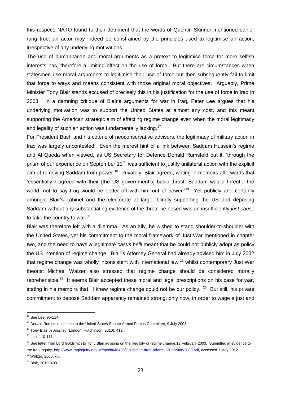this respect, NATO found to their detriment that the words of Quentin Skinner mentioned earlier rang true: an actor may indeed be constrained by the principles used to legitimise an action, irrespective of any underlying motivations.

The use of humanitarian and moral arguments as a pretext to legitimise force for more selfish interests has, therefore a limiting effect on the use of force. But there are circumstances when statesmen use moral arguments to legitimise their use of force but then subsequently fail to limit that force to ways and means consistent with those original moral objectives. Arguably, Prime Minister Tony Blair stands accused of precisely this in his justification for the use of force in Iraq in 2003. In a damning critique of Blair's arguments for war in Iraq, Peter Lee argues that his underlying motivation was to support the United States at almost any cost, and this meant supporting the American strategic aim of effecting regime change even when the moral legitimacy and legality of such an action was fundamentally lacking.<sup>17</sup>

For President Bush and his coterie of neoconservative advisors, the legitimacy of military action in Iraq was largely uncontested. Even the merest hint of a link between Saddam Hussein's regime and Al Qaeda when viewed, as US Secretary for Defence Donald Rumsfeld put it, 'through the prism of our experience on September 11<sup>th</sup> was sufficient to justify unilateral action with the explicit aim of removing Saddam from power.<sup>18</sup> Privately, Blair agreed, writing in memoirs afterwards that 'essentially I agreed with their [the US government's] basic thrust: Saddam was a threat... the world, not to say Iraq would be better off with him out of power.<sup>19</sup> Yet publicly and certainly amongst Blair's cabinet and the electorate at large, blindly supporting the US and deposing Saddam without any substantiating evidence of the threat he posed was an insufficiently *just cause*  to take the country to war.<sup>20</sup>

Blair was therefore left with a dilemma. As an ally, he wished to stand shoulder-to-shoulder with the United States, yet his commitment to the moral framework of Just War mentioned in chapter two, and the need to have a legitimate *casus belli* meant that he could not publicly adopt as policy the US intention of regime change. Blair's Attorney General had already advised him in July 2002 that regime change was wholly inconsistent with international law, $^{21}$  whilst contemporary Just War theorist Michael Walzer also stressed that regime change should be considered morally reprehensible.<sup>22</sup> It seems Blair accepted these moral and legal prescriptions on his case for war, stating in his memoirs that, 'I knew regime change could not be our policy.' <sup>23</sup> But still, his private commitment to depose Saddam apparently remained strong, only now, in order to wage a just and

 $17$  See Lee, 95-114.

<sup>&</sup>lt;sup>18</sup> Donald Rumsfeld, speech to the United States Senate Armed Forces Committee, 9 July 2003.

<sup>19</sup> Tony Blair, *A Journey* (London: Hutchinson, 2010), 412.

<sup>20</sup> Lee, 110-111.

<sup>&</sup>lt;sup>21</sup> See letter from Lord Goldsmith to Tony Blair advising on the illegality of regime change, 12 February 2003. Submitted in evidence to the Iraq Inquiry[, http://www.iraqinquiry.org.uk/media/46490/Goldsmith-draft-advice-12February2003.pdf,](http://www.iraqinquiry.org.uk/media/46490/Goldsmith-draft-advice-12February2003.pdf) accessed 1 May 2012.

 $22$  Walzer, 2006, xiii.

<sup>23</sup> Blair, 2010, 400.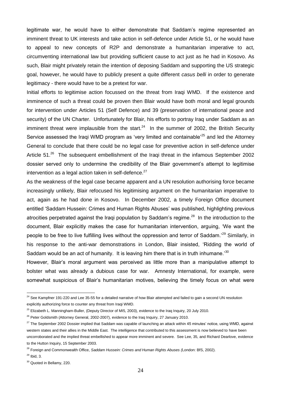legitimate war, he would have to either demonstrate that Saddam's regime represented an imminent threat to UK interests and take action in self-defence under Article 51, or he would have to appeal to new concepts of R2P and demonstrate a humanitarian imperative to act, circumventing international law but providing sufficient cause to act just as he had in Kosovo. As such, Blair might privately retain the intention of deposing Saddam and supporting the US strategic goal, however, he would have to publicly present a quite different *casus belli* in order to generate legitimacy - there would have to be a pretext for war.

Initial efforts to legitimise action focussed on the threat from Iraqi WMD. If the existence and imminence of such a threat could be proven then Blair would have both moral and legal grounds for intervention under Articles 51 (Self Defence) and 39 (preservation of international peace and security) of the UN Charter. Unfortunately for Blair, his efforts to portray Iraq under Saddam as an imminent threat were implausible from the start.<sup>24</sup> In the summer of 2002, the British Security Service assessed the Iraqi WMD program as 'very limited and containable<sup>25</sup> and led the Attorney General to conclude that there could be no legal case for preventive action in self-defence under Article 51.<sup>26</sup> The subsequent embellishment of the Iraqi threat in the infamous September 2002 dossier served only to undermine the credibility of the Blair government's attempt to legitimise intervention as a legal action taken in self-defence. $27$ 

As the weakness of the legal case became apparent and a UN resolution authorising force became increasingly unlikely, Blair refocused his legitimising argument on the humanitarian imperative to act, again as he had done in Kosovo. In December 2002, a timely Foreign Office document entitled 'Saddam Hussein: Crimes and Human Rights Abuses' was published, highlighting previous atrocities perpetrated against the Iraqi population by Saddam's regime.<sup>28</sup> In the introduction to the document, Blair explicitly makes the case for humanitarian intervention, arguing, 'We want the people to be free to live fulfilling lives without the oppression and terror of Saddam.'<sup>29</sup> Similarly, in his response to the anti-war demonstrations in London, Blair insisted, 'Ridding the world of Saddam would be an act of humanity. It is leaving him there that is in truth inhumane.<sup>30</sup>

However, Blair's moral argument was perceived as little more than a manipulative attempt to bolster what was already a dubious case for war. Amnesty International, for example, were somewhat suspicious of Blair's humanitarian motives, believing the timely focus on what were

 $\overline{a}$  $^{24}$  See Kampfner 191-220 and Lee 35-55 for a detailed narrative of how Blair attempted and failed to gain a second UN resolution explicitly authorizing force to counter any threat from Iraqi WMD.

<sup>&</sup>lt;sup>25</sup> Elizabeth L. Manningham-Buller, (Deputy Director of MI5, 2003), evidence to the Iraq Inquiry, 20 July 2010.

<sup>&</sup>lt;sup>26</sup> Peter Goldsmith (Attorney General, 2002-2007), evidence to the Iraq Inquiry, 27 January 2010.

 $27$  The September 2002 Dossier implied that Saddam was capable of launching an attack within 45 minutes' notice, using WMD, against western states and their allies in the Middle East. The intelligence that contributed to this assessment is now believed to have been uncorroborated and the implied threat embellished to appear more imminent and severe. See Lee, 35, and Richard Dearlove, evidence to the Hutton Inquiry, 15 September 2003.

<sup>28</sup> Foreign and Commonwealth Office, *Saddam Hussein: Crimes and Human Rights Abuses (*London: BfS, 2002).

 $29$  Ibid, 3.

<sup>&</sup>lt;sup>30</sup> Quoted in Bellamy, 220.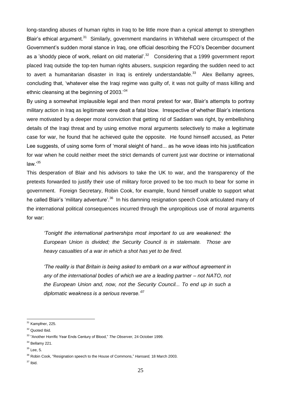long-standing abuses of human rights in Iraq to be little more than a cynical attempt to strengthen Blair's ethical argument.<sup>31</sup> Similarly, government mandarins in Whitehall were circumspect of the Government's sudden moral stance in Iraq, one official describing the FCO's December document as a 'shoddy piece of work, reliant on old material'.<sup>32</sup> Considering that a 1999 government report placed Iraq outside the top-ten human rights abusers, suspicion regarding the sudden need to act to avert a humanitarian disaster in Iraq is entirely understandable. $33$  Alex Bellamy agrees, concluding that, 'whatever else the Iraqi regime was guilty of, it was not guilty of mass killing and ethnic cleansing at the beginning of 2003.<sup>34</sup>

By using a somewhat implausible legal and then moral pretext for war, Blair's attempts to portray military action in Iraq as legitimate were dealt a fatal blow. Irrespective of whether Blair's intentions were motivated by a deeper moral conviction that getting rid of Saddam was right, by embellishing details of the Iraqi threat and by using emotive moral arguments selectively to make a legitimate case for war, he found that he achieved quite the opposite. He found himself accused, as Peter Lee suggests, of using some form of 'moral sleight of hand... as he wove ideas into his justification for war when he could neither meet the strict demands of current just war doctrine or international  $law.<sup>35</sup>$ 

This desperation of Blair and his advisors to take the UK to war, and the transparency of the pretexts forwarded to justify their use of military force proved to be too much to bear for some in government. Foreign Secretary, Robin Cook, for example, found himself unable to support what he called Blair's 'military adventure'.<sup>36</sup> In his damning resignation speech Cook articulated many of the international political consequences incurred through the unpropitious use of moral arguments for war:

*'Tonight the international partnerships most important to us are weakened: the European Union is divided; the Security Council is in stalemate. Those are heavy casualties of a war in which a shot has yet to be fired.*

*'The reality is that Britain is being asked to embark on a war without agreement in any of the international bodies of which we are a leading partner – not NATO, not the European Union and, now, not the Security Council... To end up in such a diplomatic weakness is a serious reverse.'*<sup>37</sup>

 $\overline{a}$ <sup>31</sup> Kampfner, 225.

<sup>&</sup>lt;sup>32</sup> Quoted Ibid.

<sup>33</sup> "Another Horrific Year Ends Century of Blood," *The Observer,* 24 October 1999.

 $34$  Bellamy 221.

 $35$  Lee, 5.

<sup>36</sup> Robin Cook, "Resignation speech to the House of Commons," *Hansard,* 18 March 2003.

 $37$  Ibid.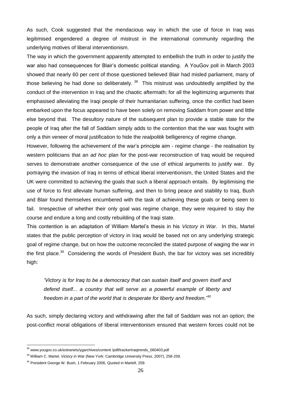As such, Cook suggested that the mendacious way in which the use of force in Iraq was legitimised engendered a degree of mistrust in the international community regarding the underlying motives of liberal interventionism.

The way in which the government apparently attempted to embellish the truth in order to justify the war also had consequences for Blair's domestic political standing. A YouGov poll in March 2003 showed that nearly 60 per cent of those questioned believed Blair had misled parliament, many of those believing he had done so deliberately. <sup>38</sup> This mistrust was undoubtedly amplified by the conduct of the intervention in Iraq and the chaotic aftermath; for all the legitimizing arguments that emphasised alleviating the Iraqi people of their humanitarian suffering, once the conflict had been embarked upon the focus appeared to have been solely on removing Saddam from power and little else beyond that. The desultory nature of the subsequent plan to provide a stable state for the people of Iraq after the fall of Saddam simply adds to the contention that the war was fought with only a thin veneer of moral justification to hide the *realpolitik* belligerency of regime change.

However, following the achievement of the war's principle aim - regime change - the realisation by western politicians that an *ad hoc* plan for the post-war reconstruction of Iraq would be required serves to demonstrate another consequence of the use of ethical arguments to justify war. By portraying the invasion of Iraq in terms of ethical liberal interventionism, the United States and the UK were committed to achieving the goals that such a liberal approach entails. By legitimising the use of force to first alleviate human suffering, and then to bring peace and stability to Iraq, Bush and Blair found themselves encumbered with the task of achieving these goals or being seen to fail. Irrespective of whether their only goal was regime change, they were required to stay the course and endure a long and costly rebuilding of the Iraqi state.

This contention is an adaptation of William Martel's thesis in his *Victory in War.* In this, Martel states that the public perception of victory in Iraq would be based not on any underlying strategic goal of regime change, but on how the outcome reconciled the stated purpose of waging the war in the first place.<sup>39</sup> Considering the words of President Bush, the bar for victory was set incredibly high:

*'Victory is for Iraq to be a democracy that can sustain itself and govern itself and defend itself... a country that will serve as a powerful example of liberty and freedom in a part of the world that is desperate for liberty and freedom*.'<sup>40</sup>

As such, simply declaring victory and withdrawing after the fall of Saddam was not an option; the post-conflict moral obligations of liberal interventionism ensured that western forces could not be

<sup>&</sup>lt;sup>38</sup> www.yougov.co.uk/extranets/ygarchives/content /pdf/trackerIraqtrends\_060403.pdf

<sup>39</sup> William C. Martel. *Victory in War* (New York: Cambridge University Press, 2007), 258-259.

<sup>&</sup>lt;sup>40</sup> President George W. Bush, 1 February 2006, Quoted in Martell, 259.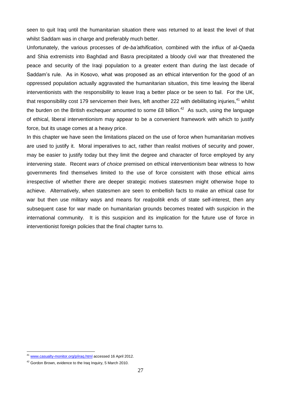seen to quit Iraq until the humanitarian situation there was returned to at least the level of that whilst Saddam was in charge and preferably much better.

Unfortunately, the various processes of *de*-*ba'athification,* combined with the influx of al-Qaeda and Shia extremists into Baghdad and Basra precipitated a bloody civil war that threatened the peace and security of the Iraqi population to a greater extent than during the last decade of Saddam's rule. As in Kosovo, what was proposed as an ethical intervention for the good of an oppressed population actually aggravated the humanitarian situation, this time leaving the liberal interventionists with the responsibility to leave Iraq a better place or be seen to fail. For the UK, that responsibility cost 179 servicemen their lives, left another 222 with debilitating injuries,<sup>41</sup> whilst the burden on the British exchequer amounted to some £8 billion.<sup>42</sup> As such, using the language of ethical, liberal interventionism may appear to be a convenient framework with which to justify force, but its usage comes at a heavy price.

In this chapter we have seen the limitations placed on the use of force when humanitarian motives are used to justify it. Moral imperatives to act, rather than realist motives of security and power, may be easier to justify today but they limit the degree and character of force employed by any intervening state. Recent *wars of choice* premised on ethical interventionism bear witness to how governments find themselves limited to the use of force consistent with those ethical aims irrespective of whether there are deeper strategic motives statesmen might otherwise hope to achieve. Alternatively, when statesmen are seen to embellish facts to make an ethical case for war but then use military ways and means for *realpolitik* ends of state self-interest, then any subsequent case for war made on humanitarian grounds becomes treated with suspicion in the international community. It is this suspicion and its implication for the future use of force in interventionist foreign policies that the final chapter turns to.

<sup>41</sup> [www.casualty-monitor.org/p/iraq.html](http://www.casualty-monitor.org/p/iraq.html) accessed 16 April 2012.

<sup>&</sup>lt;sup>42</sup> Gordon Brown, evidence to the Iraq Inquiry, 5 March 2010.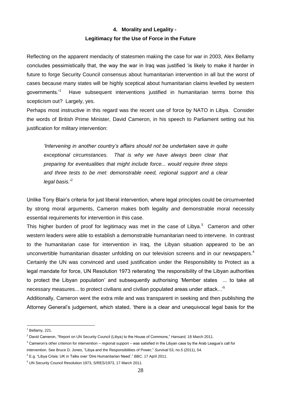## **4. Morality and Legality - Legitimacy for the Use of Force in the Future**

Reflecting on the apparent mendacity of statesmen making the case for war in 2003, Alex Bellamy concludes pessimistically that, the way the war in Iraq was justified 'is likely to make it harder in future to forge Security Council consensus about humanitarian intervention in all but the worst of cases because many states will be highly sceptical about humanitarian claims levelled by western governments.'<sup>1</sup> Have subsequent interventions justified in humanitarian terms borne this scepticism out? Largely, yes.

Perhaps most instructive in this regard was the recent use of force by NATO in Libya. Consider the words of British Prime Minister, David Cameron, in his speech to Parliament setting out his justification for military intervention:

*'Intervening in another country's affairs should not be undertaken save in quite exceptional circumstances. That is why we have always been clear that preparing for eventualities that might include force... would require three steps and three tests to be met: demonstrable need, regional support and a clear legal basis.*' 2

Unlike Tony Blair's criteria for just liberal intervention, where legal principles could be circumvented by strong moral arguments, Cameron makes both legality *and* demonstrable moral necessity essential requirements for intervention in this case.

This higher burden of proof for legitimacy was met in the case of Libya. $3$  Cameron and other western leaders were able to establish a demonstrable humanitarian need to intervene. In contrast to the humanitarian case for intervention in Iraq, the Libyan situation appeared to be an unconvertible humanitarian disaster unfolding on our television screens and in our newspapers.<sup>4</sup> Certainly the UN was convinced and used justification under the Responsibility to Protect as a legal mandate for force, UN Resolution 1973 reiterating 'the responsibility of the Libyan authorities to protect the Libyan population' and subsequently authorising 'Member states ... to take all necessary measures... to protect civilians and civilian populated areas under attack...'<sup>5</sup>

Additionally, Cameron went the extra mile and was transparent in seeking and then publishing the Attorney General's judgement, which stated, 'there is a clear and unequivocal legal basis for the

 $\overline{a}$  $<sup>1</sup>$  Bellamy, 221.</sup>

<sup>2</sup> David Cameron, "Report on UN Security Council (Libya) to the House of Commons," *Hansard,* 18 March 2011.

 $3$  Cameron's other criterion for intervention – regional support – was satisfied in the Libyan case by the Arab League's call for intervention. See Bruce D. Jones, "Libya and the Responsibilities of Power," *Survival* 53, no.5 (2011), 54.

<sup>4</sup> E.g. "Libya Crisis: UK in Talks over 'Dire Humanitarian Need'," *BBC,* 17 April 2011.

<sup>5</sup> UN Security Council Resolution 1973, S/RES/1973, 17 March 2011.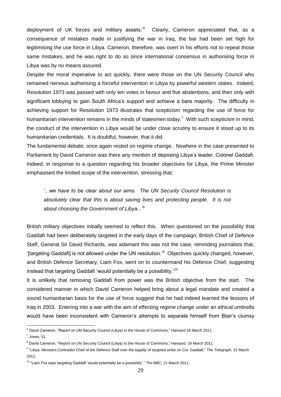deployment of UK forces and military assets.'<sup>6</sup> Clearly, Cameron appreciated that, as a consequence of mistakes made in justifying the war in Iraq, the bar had been set high for legitimising the use force in Libya. Cameron, therefore, was overt in his efforts not to repeat those same mistakes, and he was right to do so since international consensus in authorising force in Libya was by no means assured.

Despite the moral imperative to act quickly, there were those on the UN Security Council who remained nervous authorising a forceful intervention in Libya by powerful western states. Indeed, Resolution 1973 was passed with only ten votes in favour and five abstentions, and then only with significant lobbying to gain South Africa's support and achieve a bare majority. The difficulty in achieving support for Resolution 1973 illustrates that scepticism regarding the use of force for humanitarian intervention remains in the minds of statesmen today.<sup>7</sup> With such scepticism in mind, the conduct of the intervention in Libya would be under close scrutiny to ensure it stood up to its humanitarian credentials. It is doubtful, however, that it did.

The fundamental debate, once again rested on regime change. Nowhere in the case presented to Parliament by David Cameron was there any mention of deposing Libya's leader, Colonel Gaddafi. Indeed, in response to a question regarding his broader objectives for Libya, the Prime Minister emphasised the limited scope of the intervention, stressing that:

*'...we have to be clear about our aims. The UN Security Council Resolution is absolutely clear that this is about saving lives and protecting people. It is not about choosing the Government of Libya...*' 8

British military objectives initially seemed to reflect this. When questioned on the possibility that Gaddafi had been deliberately targeted in the early days of the campaign, British Chief of Defence Staff, General Sir David Richards, was adamant this was not the case, reminding journalists that, '[targeting Gaddafi] is not allowed under the UN resolution.'<sup>9</sup> Objectives quickly changed, however, and British Defence Secretary, Liam Fox, went on to countermand his Defence Chief, suggesting instead that targeting Gaddafi 'would potentially be a possibility.' $^{10}$ 

It is unlikely that removing Gaddafi from power was the British objective from the start. The considered manner in which David Cameron helped bring about a legal mandate and created a sound humanitarian basis for the use of force suggest that he had indeed learned the lessons of Iraq in 2003. Entering into a war with the aim of effecting regime change under an ethical umbrella would have been inconsistent with Cameron's attempts to separate himself from Blair's clumsy

 $\overline{a}$ <sup>6</sup> David Cameron, "Report on UN Security Council (Libya) to the House of Commons," *Hansard* 18 March 2011.

 $<sup>7</sup>$  Jones, 51.</sup>

<sup>8</sup> David Cameron, "Report on UN Security Council (Libya) to the House of Commons," *Hansard, 18* March 2011.

<sup>9</sup> "Libya: Ministers Contradict Chief of the Defence Staff over the legality of targeted strike on Col. Gaddafi," *The Telegraph,* 21 March 2011.

<sup>10</sup> "Liam Fox says targeting Gaddafi 'would potentially be a possibility'." *The BBC,* 21 March 2011.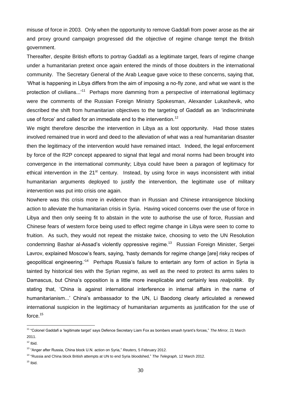misuse of force in 2003. Only when the opportunity to remove Gaddafi from power arose as the air and proxy ground campaign progressed did the objective of regime change tempt the British government.

Thereafter, despite British efforts to portray Gaddafi as a legitimate target, fears of regime change under a humanitarian pretext once again entered the minds of those doubters in the international community. The Secretary General of the Arab League gave voice to these concerns, saying that, 'What is happening in Libya differs from the aim of imposing a no-fly zone, and what we want is the protection of civilians...'<sup>11</sup> Perhaps more damming from a perspective of international legitimacy were the comments of the Russian Foreign Ministry Spokesman, Alexander Lukashevik, who described the shift from humanitarian objectives to the targeting of Gaddafi as an 'indiscriminate use of force' and called for an immediate end to the intervention.<sup>12</sup>

We might therefore describe the intervention in Libya as a lost opportunity. Had those states involved remained true in word and deed to the alleviation of what was a real humanitarian disaster then the legitimacy of the intervention would have remained intact. Indeed, the legal enforcement by force of the R2P concept appeared to signal that legal and moral norms had been brought into convergence in the international community; Libya could have been a paragon of legitimacy for ethical intervention in the 21<sup>st</sup> century. Instead, by using force in ways inconsistent with initial humanitarian arguments deployed to justify the intervention, the legitimate use of military intervention was put into crisis one again.

Nowhere was this crisis more in evidence than in Russian and Chinese intransigence blocking action to alleviate the humanitarian crisis in Syria. Having voiced concerns over the use of force in Libya and then only seeing fit to abstain in the vote to authorise the use of force, Russian and Chinese fears of western force being used to effect regime change in Libya were seen to come to fruition. As such, they would not repeat the mistake twice, choosing to veto the UN Resolution condemning Bashar al-Assad's violently oppressive regime.<sup>13</sup> Russian Foreign Minister, Sergei Lavrov, explained Moscow's fears, saying, 'hasty demands for regime change [are] risky recipes of geopolitical engineering.<sup>114</sup> Perhaps Russia's failure to entertain any form of action in Syria is tainted by historical ties with the Syrian regime, as well as the need to protect its arms sales to Damascus, but China's opposition is a little more inexplicable and certainly less *realpolitik*. By stating that, 'China is against international interference in internal affairs in the name of humanitarianism...' China's ambassador to the UN, Li Baodong clearly articulated a renewed international suspicion in the legitimacy of humanitarian arguments as justification for the use of force. $^{15}$ 

<sup>11</sup> "Colonel Gaddafi a 'legitimate target' says Defence Secretary Liam Fox as bombers smash tyrant's forces," *The Mirror,* 21 March 2011.

 $12$  Ibid.

<sup>13</sup> "Anger after Russia, China block U.N. action on Syria," *Reuters,* 5 February 2012.

<sup>&</sup>lt;sup>14</sup> "Russia and China block British attempts at UN to end Syria bloodshed," The Telegraph, 12 March 2012.

 $15$  Ibid.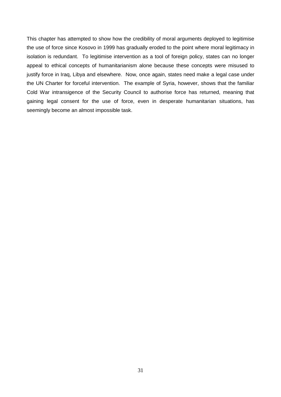This chapter has attempted to show how the credibility of moral arguments deployed to legitimise the use of force since Kosovo in 1999 has gradually eroded to the point where moral legitimacy in isolation is redundant. To legitimise intervention as a tool of foreign policy, states can no longer appeal to ethical concepts of humanitarianism alone because these concepts were misused to justify force in Iraq, Libya and elsewhere. Now, once again, states need make a legal case under the UN Charter for forceful intervention. The example of Syria, however, shows that the familiar Cold War intransigence of the Security Council to authorise force has returned, meaning that gaining legal consent for the use of force, even in desperate humanitarian situations, has seemingly become an almost impossible task.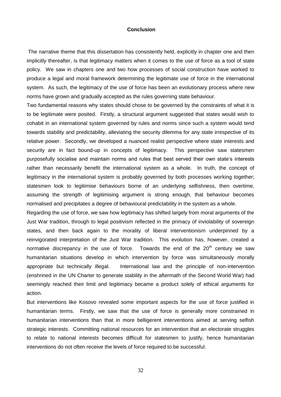#### **Conclusion**

The narrative theme that this dissertation has consistently held, explicitly in chapter one and then implicitly thereafter, is that legitimacy matters when it comes to the use of force as a tool of state policy. We saw in chapters one and two how processes of social construction have worked to produce a legal and moral framework determining the legitimate use of force in the international system. As such, the legitimacy of the use of force has been an evolutionary process where new norms have grown and gradually accepted as the rules governing state behaviour.

Two fundamental reasons why states should chose to be governed by the constraints of what it is to be legitimate were posited. Firstly, a structural argument suggested that states would wish to cohabit in an international system governed by rules and norms since such a system would tend towards stability and predictability, alleviating the security dilemma for any state irrespective of its relative power. Secondly, we developed a nuanced realist perspective where state interests and security are in fact bound-up in concepts of legitimacy. This perspective saw statesmen purposefully socialise and maintain norms and rules that best served their own state's interests rather than necessarily benefit the international system as a whole. In truth, the concept of legitimacy in the international system is probably governed by both processes working together; statesmen look to legitimise behaviours borne of an underlying selfishness, then overtime, assuming the strength of legitimising argument is strong enough, that behaviour becomes normalised and precipitates a degree of behavioural predictability in the system as a whole.

Regarding the use of force, we saw how legitimacy has shifted largely from moral arguments of the Just War tradition, through to legal positivism reflected in the primacy of inviolability of sovereign states, and then back again to the morality of liberal interventionism underpinned by a reinvigorated interpretation of the Just War tradition. This evolution has, however, created a normative discrepancy in the use of force. Towards the end of the  $20<sup>th</sup>$  century we saw humanitarian situations develop in which intervention by force was simultaneously morally appropriate but technically illegal. International law and the principle of non-intervention (enshrined in the UN Charter to generate stability in the aftermath of the Second World War) had seemingly reached their limit and legitimacy became a product solely of ethical arguments for action.

But interventions like Kosovo revealed some important aspects for the use of force justified in humanitarian terms. Firstly, we saw that the use of force is generally more constrained in humanitarian interventions than that in more belligerent interventions aimed at serving selfish strategic interests. Committing national resources for an intervention that an electorate struggles to relate to national interests becomes difficult for statesmen to justify, hence humanitarian interventions do not often receive the levels of force required to be successful.

32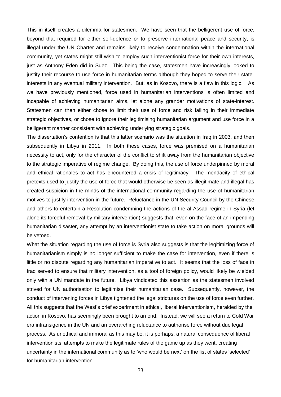This in itself creates a dilemma for statesmen. We have seen that the belligerent use of force, beyond that required for either self-defence or to preserve international peace and security, is illegal under the UN Charter and remains likely to receive condemnation within the international community, yet states might still wish to employ such interventionist force for their own interests, just as Anthony Eden did in Suez. This being the case, statesmen have increasingly looked to justify their recourse to use force in humanitarian terms although they hoped to serve their stateinterests in any eventual military intervention. But, as in Kosovo, there is a flaw in this logic. As we have previously mentioned, force used in humanitarian interventions is often limited and incapable of achieving humanitarian aims, let alone any grander motivations of state-interest. Statesmen can then either chose to limit their use of force and risk failing in their immediate strategic objectives, or chose to ignore their legitimising humanitarian argument and use force in a belligerent manner consistent with achieving underlying strategic goals.

The dissertation's contention is that this latter scenario was the situation in Iraq in 2003, and then subsequently in Libya in 2011. In both these cases, force was premised on a humanitarian necessity to act, only for the character of the conflict to shift away from the humanitarian objective to the strategic imperative of regime change. By doing this, the use of force underpinned by moral and ethical rationales to act has encountered a crisis of legitimacy. The mendacity of ethical pretexts used to justify the use of force that would otherwise be seen as illegitimate and illegal has created suspicion in the minds of the international community regarding the use of humanitarian motives to justify intervention in the future. Reluctance in the UN Security Council by the Chinese and others to entertain a Resolution condemning the actions of the al-Assad regime in Syria (let alone its forceful removal by military intervention) suggests that, even on the face of an impending humanitarian disaster, any attempt by an interventionist state to take action on moral grounds will be vetoed.

What the situation regarding the use of force is Syria also suggests is that the legitimizing force of humanitarianism simply is no longer sufficient to make the case for intervention, even if there is little or no dispute regarding any humanitarian imperative to act. It seems that the loss of face in Iraq served to ensure that military intervention, as a tool of foreign policy, would likely be wielded only with a UN mandate in the future. Libya vindicated this assertion as the statesmen involved strived for UN authorisation to legitimise their humanitarian case. Subsequently, however, the conduct of intervening forces in Libya tightened the legal strictures on the use of force even further. All this suggests that the West's brief experiment in ethical, liberal interventionism, heralded by the action in Kosovo, has seemingly been brought to an end. Instead, we will see a return to Cold War era intransigence in the UN and an overarching reluctance to authorise force without due legal process. As unethical and immoral as this may be, it is perhaps, a natural consequence of liberal interventionists' attempts to make the legitimate rules of the game up as they went, creating uncertainty in the international community as to 'who would be next' on the list of states 'selected' for humanitarian intervention.

33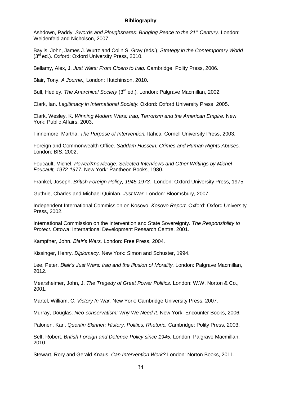#### **Bibliography**

Ashdown, Paddy. *Swords and Ploughshares: Bringing Peace to the 21st Century.* London: Weidenfeld and Nicholson, 2007.

Baylis, John, James J. Wurtz and Colin S. Gray (eds.), *Strategy in the Contemporary World*  (3rd ed.). Oxford: Oxford University Press, 2010.

Bellamy, Alex, J. *Just Wars: From Cicero to Iraq.* Cambridge: Polity Press, 2006.

Blair, Tony. *A Journe.,* London: Hutchinson, 2010.

Bull, Hedley. *The Anarchical Society* (3rd ed.)*.* London: Palgrave Macmillan, 2002.

Clark, Ian. *Legitimacy in International Society.* Oxford: Oxford University Press, 2005.

Clark, Wesley, K. *Winning Modern Wars: Iraq, Terrorism and the American Empire.* New York: Public Affairs, 2003.

Finnemore, Martha. *The Purpose of Intervention.* Itahca: Cornell University Press, 2003.

Foreign and Commonwealth Office. *Saddam Hussein: Crimes and Human Rights Abuses.*  London: BfS, 2002,

Foucault, Michel. *Power/Knowledge: Selected Interviews and Other Writings by Michel Foucault, 1972-1977.* New York: Pantheon Books, 1980.

Frankel, Joseph. *British Foreign Policy, 1945-1973.* London: Oxford University Press, 1975.

Guthrie, Charles and Michael Quinlan. *Just War.* London: Bloomsbury, 2007.

Independent International Commission on Kosovo. *Kosovo Report.* Oxford: Oxford University Press, 2002.

International Commission on the Intervention and State Sovereignty. *The Responsibility to Protect.* Ottowa: International Development Research Centre, 2001.

Kampfner, John. *Blair's Wars.* London: Free Press, 2004.

Kissinger, Henry. *Diplomacy.* New York: Simon and Schuster, 1994.

Lee, Peter. *Blair's Just Wars: Iraq and the Illusion of Morality.* London: Palgrave Macmillan, 2012.

Mearsheimer, John, J. *The Tragedy of Great Power Politics.* London: W.W. Norton & Co., 2001.

Martel, William, C. *Victory In War.* New York: Cambridge University Press, 2007.

Murray, Douglas. *Neo-conservatism: Why We Need It.* New York: Encounter Books, 2006.

Palonen, Kari. *Quentin Skinner: History, Politics, Rhetoric.* Cambridge: Polity Press, 2003.

Self, Robert. *British Foreign and Defence Policy since 1945.* London: Palgrave Macmillan, 2010.

Stewart, Rory and Gerald Knaus. *Can Intervention Work?* London: Norton Books, 2011.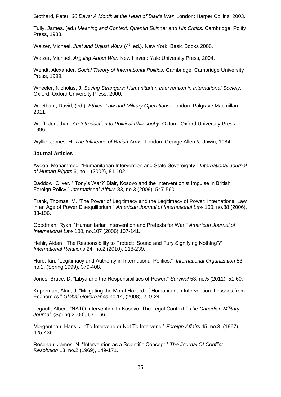Stothard, Peter. *30 Days: A Month at the Heart of Blair's War.* London: Harper Collins, 2003.

Tully, James. (ed.) *Meaning and Context: Quentin Skinner and His Critics.* Cambridge: Polity Press, 1988.

Walzer, Michael. *Just and Unjust Wars* (4<sup>th</sup> ed.). New York: Basic Books 2006.

Walzer, Michael. *Arguing About War.* New Haven: Yale University Press, 2004.

Wendt, Alexander. *Social Theory of International Politics.* Cambridge: Cambridge University Press, 1999.

Wheeler, Nicholas, J. *Saving Strangers: Humanitarian Intervention in International Society.*  Oxford: Oxford University Press, 2000.

Whetham, David, (ed.). *Ethics, Law and Military Operations.* London: Palgrave Macmillan 2011.

Wolff, Jonathan. *An Introduction to Political Philosophy.* Oxford: Oxford University Press, 1996.

Wyllie, James, H. *The Influence of British Arms.* London: George Allen & Unwin, 1984.

#### **Journal Articles**

Ayoob, Mohammed. "Humanitarian Intervention and State Sovereignty." *International Journal of Human Rights* 6, no.1 (2002), 81-102.

Daddow, Oliver. "'Tony's War?' Blair, Kosovo and the Interventionist Impulse in British Foreign Policy." *International Affairs* 83, no.3 (2009), 547-560.

Frank, Thomas, M. "The Power of Legitimacy and the Legitimacy of Power: International Law in an Age of Power Disequilibrium." *American Journal of International Law* 100, no.88 (2006), 88-106.

Goodman, Ryan. "Humanitarian Intervention and Pretexts for War." *American Journal of International Law* 100, no.107 (2006),107-141.

Hehir, Aidan. "The Responsibility to Protect: 'Sound and Fury Signifying Nothing'?" *International Relations* 24, no.2 (2010), 218-239.

Hurd, Ian. "Legitimacy and Authority in International Politics." *International Organization* 53, no.2. (Spring 1999), 379-408.

Jones, Bruce, D. "Libya and the Responsibilities of Power." *Survival* 53, no.5 (2011), 51-60.

Kuperman, Alan, J. "Mitigating the Moral Hazard of Humanitarian Intervention: Lessons from Economics." *Global Governance* no.14, (2008), 219-240.

Legault, Albert. "NATO Intervention In Kosovo: The Legal Context." *The Canadian Military Journal,* (Spring 2000), 63 – 66.

Morgenthau, Hans, J. "To Intervene or Not To Intervene." *Foreign Affairs* 45, no.3, (1967), 425-436.

Rosenau, James, N. "Intervention as a Scientific Concept." *The Journal Of Conflict Resolution* 13, no.2 (1969), 149-171.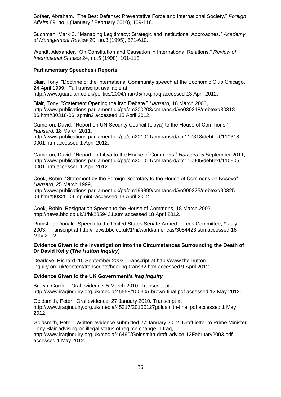Sofaer, Abraham. "The Best Defense: Preventative Force and International Society." *Foreign Affairs* 89, no.1 (January / February 2010), 109-118.

Suchman, Mark C. "Managing Legitimacy: Strategic and Institutional Approaches*.*" *Academy of Management Review* 20, no.3 (1995), 571-610.

Wendt, Alexander. "On Constitution and Causation in International Relations." *Review of International Studies* 24, no.5 (1998), 101-118.

#### **Parliamentary Speeches / Reports**

Blair, Tony. "Doctrine of the International Community speech at the Economic Club Chicago, 24 April 1999. Full transcript available at <http://www.guardian.co.uk/politics/2004/mar/05/iraq.iraq> accessed 13 April 2012.

Blair, Tony. "Statement Opening the Iraq Debate." *Hansard,* 18 March 2003, [http://www.publications.parliament.uk/pa/cm200203/cmhansrd/vo030318/debtext/30318-](http://www.publications.parliament.uk/pa/cm200203/cmhansrd/vo030318/debtext/30318-06.htm#30318-06_spmin2) [06.htm#30318-06\\_spmin2](http://www.publications.parliament.uk/pa/cm200203/cmhansrd/vo030318/debtext/30318-06.htm#30318-06_spmin2) accessed 15 April 2012.

Cameron, David. "Report on UN Security Council (Libya) to the House of Commons." *Hansard,* 18 March 2011,

[http://www.publications.parliament.uk/pa/cm201011/cmhansrd/cm110318/debtext/110318-](http://www.publications.parliament.uk/pa/cm201011/cmhansrd/cm110318/debtext/110318-0001.htm) [0001.htm](http://www.publications.parliament.uk/pa/cm201011/cmhansrd/cm110318/debtext/110318-0001.htm) accessed 1 April 2012.

Cameron, David. "Report on Libya to the House of Commons." *Hansard,* 5 September 2011, [http://www.publications.parliament.uk/pa/cm201011/cmhansrd/cm110905/debtext/110905-](http://www.publications.parliament.uk/pa/cm201011/cmhansrd/cm110905/debtext/110905-0001.htm) [0001.htm](http://www.publications.parliament.uk/pa/cm201011/cmhansrd/cm110905/debtext/110905-0001.htm) accessed 1 April 2012.

Cook, Robin. "Statement by the Foreign Secretary to the House of Commons on Kosovo" *Hansard*, 25 March 1999,

http://www.publications.parliament.uk/pa/cm199899/cmhansrd/vo990325/debtext/90325- 09.htm#90325-09\_spmin0 accessed 13 April 2012.

Cook, Robin. Resignation Speech to the House of Commons, 18 March 2003. <http://news.bbc.co.uk/1/hi/2859431.stm> accessed 18 April 2012.

Rumsfeld, Donald. Speech to the United States Senate Armed Forces Committee, 9 July 2003. Transcript at http://news.bbc.co.uk/1/hi/world/americas/3054423.stm accessed 16 May 2012.

#### **Evidence Given to the Investigation Into the Circumstances Surrounding the Death of Dr David Kelly (***The Hutton Inquiry***)**

Dearlove, Richard. 15 September 2003. Transcript at [http://www.the-hutton](http://www.the-hutton-inquiry.org.uk/content/transcripts/hearing-trans32.htm)[inquiry.org.uk/content/transcripts/hearing-trans32.htm](http://www.the-hutton-inquiry.org.uk/content/transcripts/hearing-trans32.htm) accessed 9 April 2012.

#### **Evidence Given to the UK Government's** *Iraq Inquiry*

Brown, Gordon. Oral evidence, 5 March 2010. Transcript at [http://www.iraqinquiry.org.uk/media/45558/100305-brown-final.pdf accessed 12 May 2012.](http://www.iraqinquiry.org.uk/media/45558/100305-brown-final.pdf%20accessed%2012%20May%202012)

Goldsmith, Peter. Oral evidence, 27 January 2010. Transcript at [http://www.iraqinquiry.org.uk/media/45317/20100127goldsmith-final.pdf accessed 1 May](http://www.iraqinquiry.org.uk/media/45317/20100127goldsmith-final.pdf%20accessed%201%20May%202012)  [2012.](http://www.iraqinquiry.org.uk/media/45317/20100127goldsmith-final.pdf%20accessed%201%20May%202012)

Goldsmith, Peter. Written evidence submitted 27 January 2012. Draft letter to Prime Minister Tony Blair advising on illegal status of regime change in Iraq, [http://www.iraqinquiry.org.uk/media/46490/Goldsmith-draft-advice-12February2003.pdf](http://www.iraqinquiry.org.uk/media/46490/Goldsmith-draft-advice-12February2003.pdf%20accessed%201%20May%202012)  [accessed 1 May 2012.](http://www.iraqinquiry.org.uk/media/46490/Goldsmith-draft-advice-12February2003.pdf%20accessed%201%20May%202012)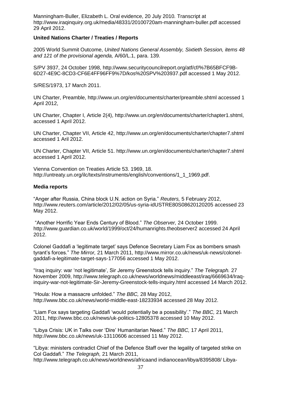Manningham-Buller, Elizabeth L. Oral evidence, 20 July 2010*.* Transcript at <http://www.iraqinquiry.org.uk/media/48331/20100720am-manningham-buller.pdf> accessed 29 April 2012.

#### **United Nations Charter / Treaties / Reports**

2005 World Summit Outcome, *United Nations General Assembly, Sixtieth Session, items 48 and 121 of the provisional agenda,* A/60/L.1, para. 139.

S/PV 3937, 24 October 1998, [http://www.securitycouncilreport.org/atf/cf/%7B65BFCF9B-](http://www.securitycouncilreport.org/atf/cf/%7B65BFCF9B-6D27-4E9C-8CD3-CF6E4FF96FF9%7D/kos%20SPV%203937.pdf)[6D27-4E9C-8CD3-CF6E4FF96FF9%7D/kos%20SPV%203937.pdf](http://www.securitycouncilreport.org/atf/cf/%7B65BFCF9B-6D27-4E9C-8CD3-CF6E4FF96FF9%7D/kos%20SPV%203937.pdf) accessed 1 May 2012.

S/RES/1973, 17 March 2011.

UN Charter, Preamble,<http://www.un.org/en/documents/charter/preamble.shtml> accessed 1 April 2012,

UN Charter, Chapter I, Article 2(4), [http://www.un.org/en/documents/charter/chapter1.shtml,](http://www.un.org/en/documents/charter/chapter1.shtml) accessed 1 April 2012.

UN Charter, Chapter VII, Article 42, <http://www.un.org/en/documents/charter/chapter7.shtml> accessed 1 Aril 2012.

UN Charter, Chapter VII, Article 51. <http://www.un.org/en/documents/charter/chapter7.shtml> accessed 1 April 2012.

Vienna Convention on Treaties Article 53. 1969, 18. [http://untreaty.un.org/ilc/texts/instruments/english/conventions/1\\_1\\_1969.pdf.](http://untreaty.un.org/ilc/texts/instruments/english/conventions/1_1_1969.pdf)

#### **Media reports**

"Anger after Russia, China block U.N. action on Syria." *Reuters,* 5 February 2012, <http://www.reuters.com/article/2012/02/05/us-syria-idUSTRE80S08620120205> accessed 23 May 2012.

"Another Horrific Year Ends Century of Blood." *The Observer,* 24 October 1999. <http://www.guardian.co.uk/world/1999/oct/24/humanrights.theobserver2> accessed 24 April 2012.

Colonel Gaddafi a 'legitimate target' says Defence Secretary Liam Fox as bombers smash tyrant's forces." *The Mirror,* 21 March 2011, [http://www.mirror.co.uk/news/uk-news/colonel](http://www.mirror.co.uk/news/uk-news/colonel-gaddafi-a-legitimate-target-says-177056)[gaddafi-a-legitimate-target-says-177056](http://www.mirror.co.uk/news/uk-news/colonel-gaddafi-a-legitimate-target-says-177056) accessed 1 May 2012.

"Iraq inquiry: war 'not legitimate', Sir Jeremy Greenstock tells inquiry." *The Telegraph.* 27 November 2009, [http://www.telegraph.co.uk/news/worldnews/middleeast/iraq/6669634/Iraq](http://www.telegraph.co.uk/news/worldnews/middleeast/iraq/6669634/Iraq-inquiry-war-not-legitimate-Sir-Jeremy-Greenstock-tells-inquiry.html)[inquiry-war-not-legitimate-Sir-Jeremy-Greenstock-tells-inquiry.html](http://www.telegraph.co.uk/news/worldnews/middleeast/iraq/6669634/Iraq-inquiry-war-not-legitimate-Sir-Jeremy-Greenstock-tells-inquiry.html) accessed 14 March 2012.

"Houla: How a massacre unfolded." *The BBC,* 28 May 2012, <http://www.bbc.co.uk/news/world-middle-east-18233934> accessed 28 May 2012.

"Liam Fox says targeting Gaddafi 'would potentially be a possibility'." *The BBC,* 21 March 2011,<http://www.bbc.co.uk/news/uk-politics-12805378> accessed 10 May 2012.

"Libya Crisis: UK in Talks over 'Dire' Humanitarian Need." *The BBC,* 17 April 2011, <http://www.bbc.co.uk/news/uk-13110606> accessed 11 May 2012.

"Libya: ministers contradict Chief of the Defence Staff over the legality of targeted strike on Col Gaddafi." *The Telegraph,* 21 March 2011, [http://www.telegraph.co.uk/news/worldnews/africaand indianocean/libya/8395808/ Libya-](http://www.telegraph.co.uk/news/worldnews/africaand%20indianocean/libya/8395808/%20Libya-minsiters-contradict-Chief-of-the-Defence-Staff-over-legality-of-targeted-strike-on-Col-Gaddafi.html)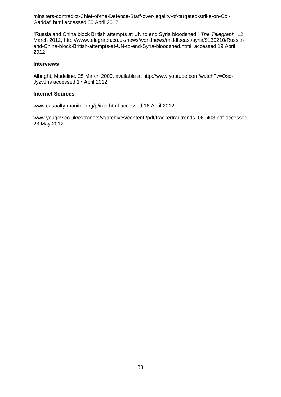[minsiters-contradict-Chief-of-the-Defence-Staff-over-legality-of-targeted-strike-on-Col-](http://www.telegraph.co.uk/news/worldnews/africaand%20indianocean/libya/8395808/%20Libya-minsiters-contradict-Chief-of-the-Defence-Staff-over-legality-of-targeted-strike-on-Col-Gaddafi.html)[Gaddafi.html](http://www.telegraph.co.uk/news/worldnews/africaand%20indianocean/libya/8395808/%20Libya-minsiters-contradict-Chief-of-the-Defence-Staff-over-legality-of-targeted-strike-on-Col-Gaddafi.html) accessed 30 April 2012.

"Russia and China block British attempts at UN to end Syria bloodshed." *The Telegraph,* 12 March 2012, [http://www.telegraph.co.uk/news/worldnews/middleeast/syria/9139210/Russia](http://www.telegraph.co.uk/news/worldnews/middleeast/syria/9139210/Russia-and-China-block-British-attempts-at-UN-to-end-Syria-bloodshed.html)[and-China-block-British-attempts-at-UN-to-end-Syria-bloodshed.html,](http://www.telegraph.co.uk/news/worldnews/middleeast/syria/9139210/Russia-and-China-block-British-attempts-at-UN-to-end-Syria-bloodshed.html) accessed 19 April 2012

#### **Interviews**

Albright, Madeline. 25 March 2009, available at [http://www.youtube.com/watch?v=Osd-](http://www.youtube.com/watch?v=Osd-JyzvJns)[JyzvJns](http://www.youtube.com/watch?v=Osd-JyzvJns) accessed 17 April 2012.

#### **Internet Sources**

[www.casualty-monitor.org/p/iraq.html](http://www.casualty-monitor.org/p/iraq.html) accessed 16 April 2012.

[www.yougov.co.uk/extranets/ygarchives/content /pdf/trackerIraqtrends\\_060403.pdf](http://www.yougov.co.uk/extranets/ygarchives/content%20/pdf/trackerIraqtrends_060403.pdf) accessed 23 May 2012.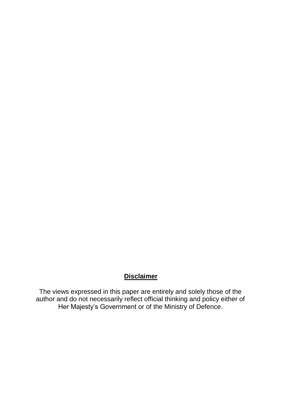## **Disclaimer**

The views expressed in this paper are entirely and solely those of the author and do not necessarily reflect official thinking and policy either of Her Majesty's Government or of the Ministry of Defence.